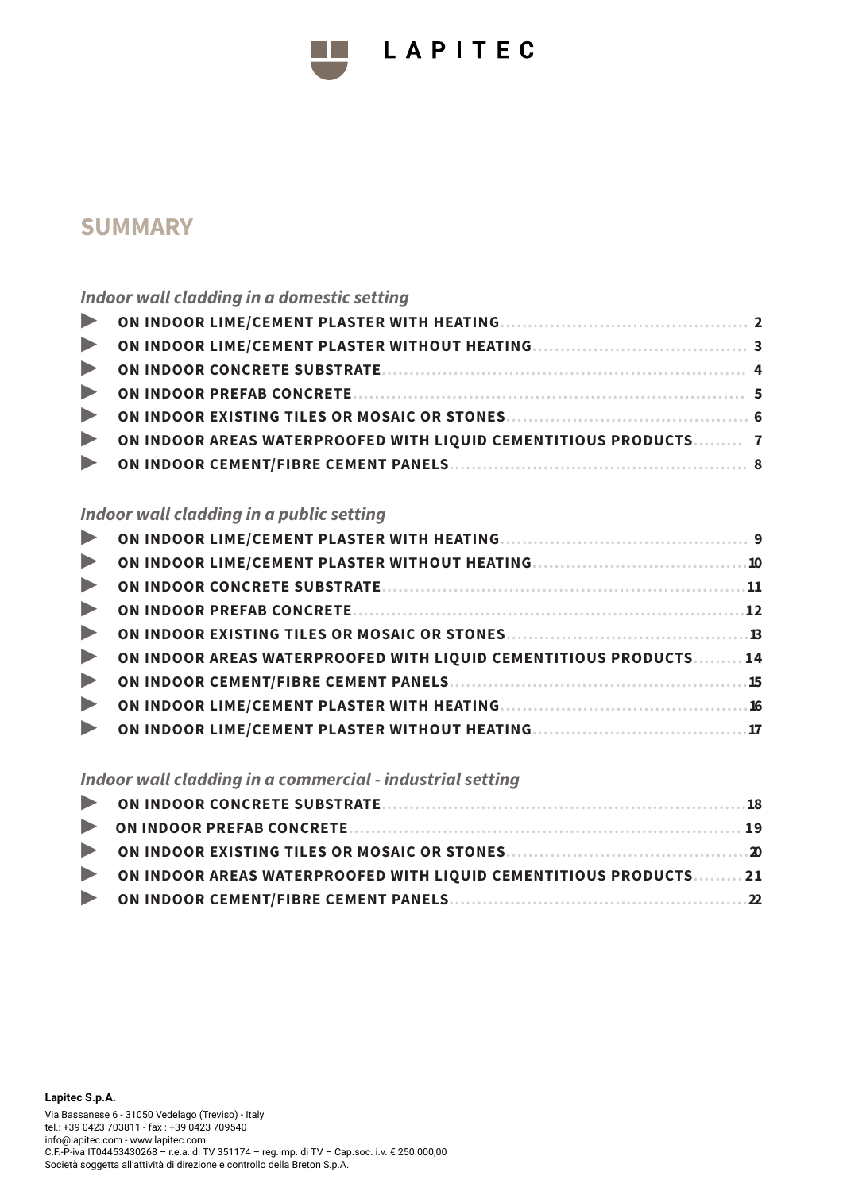

# LAPITEC

# **SUMMARY**

### *Indoor wall cladding in a domestic setting*

| ON INDOOR AREAS WATERPROOFED WITH LIQUID CEMENTITIOUS PRODUCTS 7 |  |
|------------------------------------------------------------------|--|
|                                                                  |  |
|                                                                  |  |

### *Indoor wall cladding in a public setting*

| $\blacktriangleright$ |                                                                   |
|-----------------------|-------------------------------------------------------------------|
| $\blacktriangleright$ |                                                                   |
| $\blacktriangleright$ |                                                                   |
| $\blacktriangleright$ |                                                                   |
| $\blacktriangleright$ | ON INDOOR AREAS WATERPROOFED WITH LIQUID CEMENTITIOUS PRODUCTS 14 |
| $\blacktriangleright$ |                                                                   |
| $\blacktriangleright$ |                                                                   |
| $\blacktriangleright$ |                                                                   |

#### *Indoor wall cladding in a commercial - industrial setting*

| ON INDOOR AREAS WATERPROOFED WITH LIQUID CEMENTITIOUS PRODUCTS21 |  |
|------------------------------------------------------------------|--|
|                                                                  |  |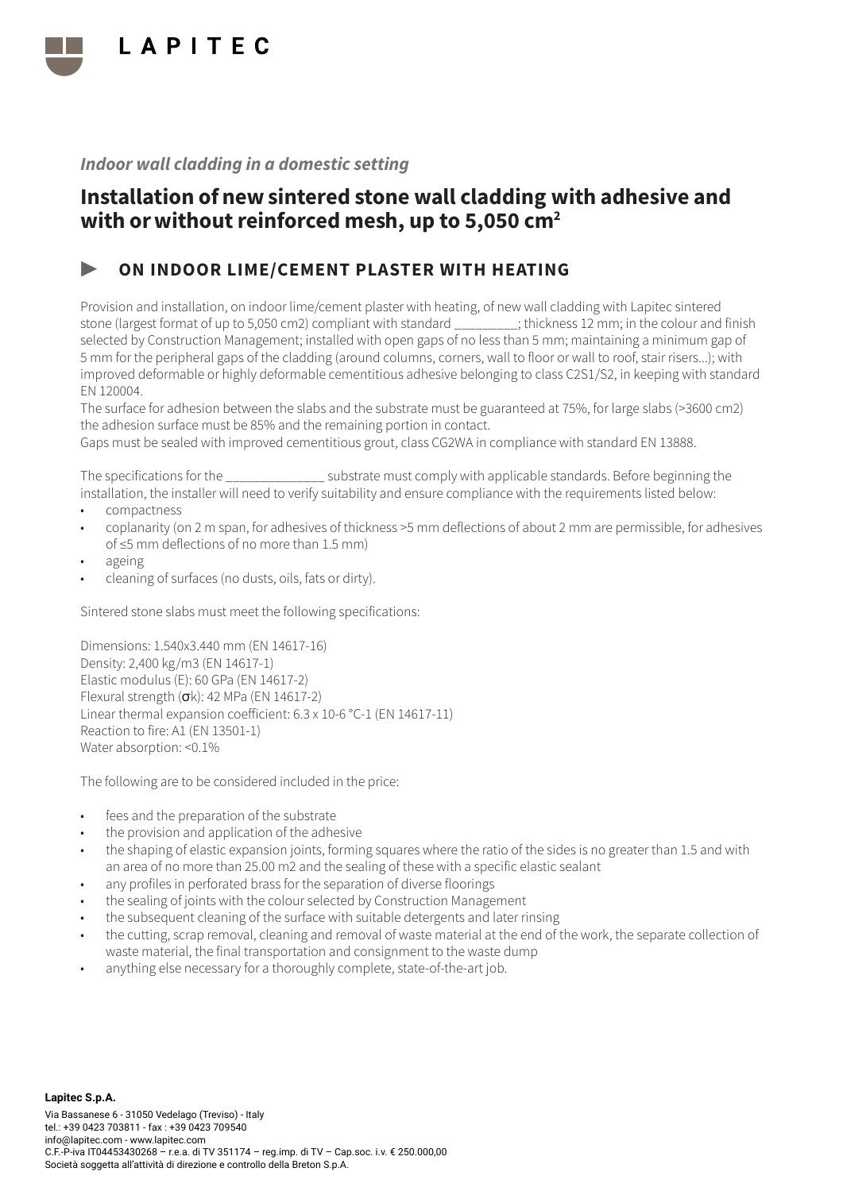

## Installation of new sintered stone wall cladding with adhesive and with or without reinforced mesh, up to 5,050 cm<sup>2</sup>

### ▶ ON INDOOR LIME/CEMENT PLASTER WITH HEATING

Provision and installation, on indoor lime/cement plaster with heating, of new wall cladding with Lapitec sintered stone (largest format of up to 5,050 cm2) compliant with standard \_\_\_\_\_\_\_\_\_; thickness 12 mm; in the colour and finish selected by Construction Management; installed with open gaps of no less than 5 mm; maintaining a minimum gap of 5 mm for the peripheral gaps of the cladding (around columns, corners, wall to floor or wall to roof, stair risers...); with improved deformable or highly deformable cementitious adhesive belonging to class C2S1/S2, in keeping with standard EN 120004.

The surface for adhesion between the slabs and the substrate must be guaranteed at 75%, for large slabs (>3600 cm2) the adhesion surface must be 85% and the remaining portion in contact.

Gaps must be sealed with improved cementitious grout, class CG2WA in compliance with standard EN 13888.

The specifications for the \_\_\_\_\_\_\_\_\_\_\_\_\_\_ substrate must comply with applicable standards. Before beginning the installation, the installer will need to verify suitability and ensure compliance with the requirements listed below:

- compactness
- coplanarity (on 2 m span, for adhesives of thickness >5 mm deflections of about 2 mm are permissible, for adhesives of ≤5 mm deflections of no more than 1.5 mm)
- ageing
- cleaning of surfaces (no dusts, oils, fats or dirty).

Sintered stone slabs must meet the following specifications:

Dimensions: 1.540x3.440 mm (EN 14617-16) Density: 2,400 kg/m3 (EN 14617-1) Elastic modulus (E): 60 GPa (EN 14617-2) Flexural strength  $(\sigma k)$ : 42 MPa (EN 14617-2) Linear thermal expansion coefficient: 6.3 x 10-6 °C-1 (EN 14617-11) Reaction to fire: A1 (EN 13501-1) Water absorption: <0.1%

- fees and the preparation of the substrate
- the provision and application of the adhesive
- the shaping of elastic expansion joints, forming squares where the ratio of the sides is no greater than 1.5 and with an area of no more than 25.00 m2 and the sealing of these with a specific elastic sealant
- any profiles in perforated brass for the separation of diverse floorings
- the sealing of joints with the colour selected by Construction Management
- the subsequent cleaning of the surface with suitable detergents and later rinsing
- the cutting, scrap removal, cleaning and removal of waste material at the end of the work, the separate collection of waste material, the final transportation and consignment to the waste dump
- anything else necessary for a thoroughly complete, state-of-the-art job.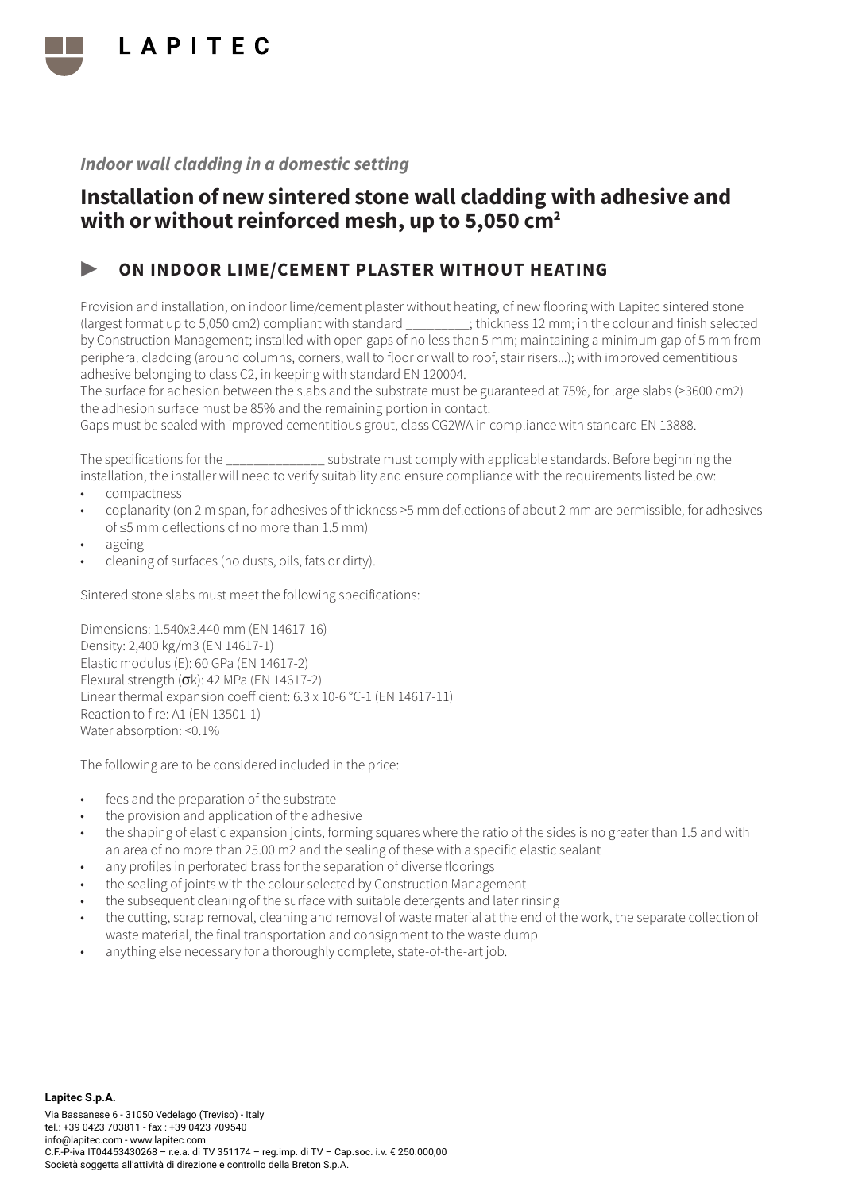

## Installation of new sintered stone wall cladding with adhesive and with or without reinforced mesh, up to 5,050 cm<sup>2</sup>

### ▶ ON INDOOR LIME/CEMENT PLASTER WITHOUT HEATING

Provision and installation, on indoor lime/cement plaster without heating, of new flooring with Lapitec sintered stone (largest format up to 5,050 cm2) compliant with standard \_\_\_\_\_\_\_\_\_; thickness 12 mm; in the colour and finish selected by Construction Management; installed with open gaps of no less than 5 mm; maintaining a minimum gap of 5 mm from peripheral cladding (around columns, corners, wall to floor or wall to roof, stair risers...); with improved cementitious adhesive belonging to class C2, in keeping with standard EN 120004.

The surface for adhesion between the slabs and the substrate must be guaranteed at 75%, for large slabs (>3600 cm2) the adhesion surface must be 85% and the remaining portion in contact.

Gaps must be sealed with improved cementitious grout, class CG2WA in compliance with standard EN 13888.

The specifications for the  $\sim$  substrate must comply with applicable standards. Before beginning the installation, the installer will need to verify suitability and ensure compliance with the requirements listed below:

- compactness
- coplanarity (on 2 m span, for adhesives of thickness >5 mm deflections of about 2 mm are permissible, for adhesives of ≤5 mm deflections of no more than 1.5 mm)
- ageing
- cleaning of surfaces (no dusts, oils, fats or dirty).

Sintered stone slabs must meet the following specifications:

Dimensions: 1.540x3.440 mm (EN 14617-16) Density: 2,400 kg/m3 (EN 14617-1) Elastic modulus (E): 60 GPa (EN 14617-2) Flexural strength (σk): 42 MPa (EN 14617-2) Linear thermal expansion coefficient: 6.3 x 10-6 °C-1 (EN 14617-11) Reaction to fire: A1 (EN 13501-1) Water absorption: <0.1%

- fees and the preparation of the substrate
- the provision and application of the adhesive
- the shaping of elastic expansion joints, forming squares where the ratio of the sides is no greater than 1.5 and with an area of no more than 25.00 m2 and the sealing of these with a specific elastic sealant
- any profiles in perforated brass for the separation of diverse floorings
- the sealing of joints with the colour selected by Construction Management
- the subsequent cleaning of the surface with suitable detergents and later rinsing
- the cutting, scrap removal, cleaning and removal of waste material at the end of the work, the separate collection of waste material, the final transportation and consignment to the waste dump
- anything else necessary for a thoroughly complete, state-of-the-art job.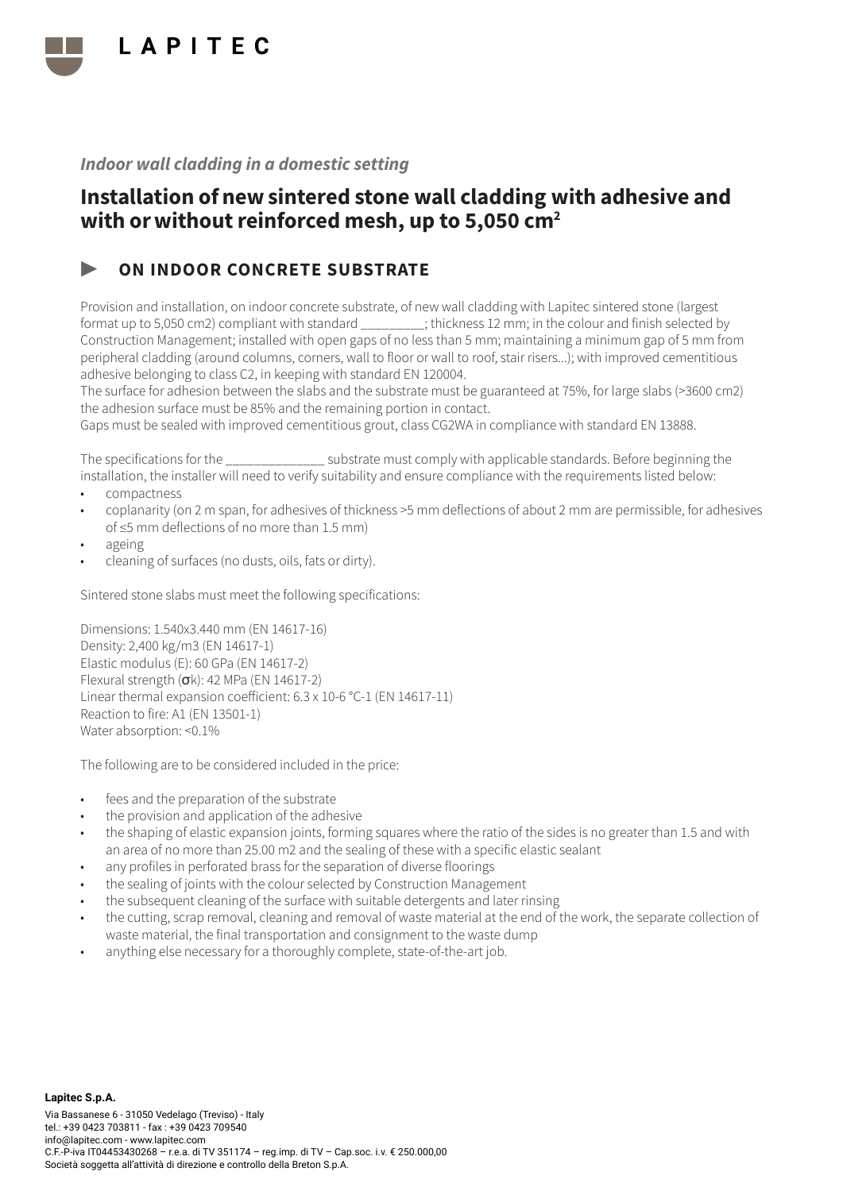

## Installation of new sintered stone wall cladding with adhesive and with or without reinforced mesh, up to 5,050 cm<sup>2</sup>

### ON INDOOR CONCRETE SUBSTRATE

Provision and installation, on indoor concrete substrate, of new wall cladding with Lapitec sintered stone (largest format up to 5,050 cm2) compliant with standard \_\_\_\_\_\_\_\_\_; thickness 12 mm; in the colour and finish selected by Construction Management; installed with open gaps of no less than 5 mm; maintaining a minimum gap of 5 mm from peripheral cladding (around columns, corners, wall to floor or wall to roof, stair risers...); with improved cementitious adhesive belonging to class C2, in keeping with standard EN 120004.

The surface for adhesion between the slabs and the substrate must be guaranteed at 75%, for large slabs (>3600 cm2) the adhesion surface must be 85% and the remaining portion in contact.

Gaps must be sealed with improved cementitious grout, class CG2WA in compliance with standard EN 13888.

The specifications for the  $\sim$  substrate must comply with applicable standards. Before beginning the installation, the installer will need to verify suitability and ensure compliance with the requirements listed below:

- compactness
- coplanarity (on 2 m span, for adhesives of thickness >5 mm deflections of about 2 mm are permissible, for adhesives of ≤5 mm deflections of no more than 1.5 mm)
- ageing
- cleaning of surfaces (no dusts, oils, fats or dirty).

Sintered stone slabs must meet the following specifications:

Dimensions: 1.540x3.440 mm (EN 14617-16) Density: 2,400 kg/m3 (EN 14617-1) Elastic modulus (E): 60 GPa (EN 14617-2) Flexural strength (σk): 42 MPa (EN 14617-2) Linear thermal expansion coefficient: 6.3 x 10-6 °C-1 (EN 14617-11) Reaction to fire: A1 (EN 13501-1) Water absorption: <0.1%

- fees and the preparation of the substrate
- the provision and application of the adhesive
- the shaping of elastic expansion joints, forming squares where the ratio of the sides is no greater than 1.5 and with an area of no more than 25.00 m2 and the sealing of these with a specific elastic sealant
- any profiles in perforated brass for the separation of diverse floorings
- the sealing of joints with the colour selected by Construction Management
- the subsequent cleaning of the surface with suitable detergents and later rinsing
- the cutting, scrap removal, cleaning and removal of waste material at the end of the work, the separate collection of waste material, the final transportation and consignment to the waste dump
- anything else necessary for a thoroughly complete, state-of-the-art job.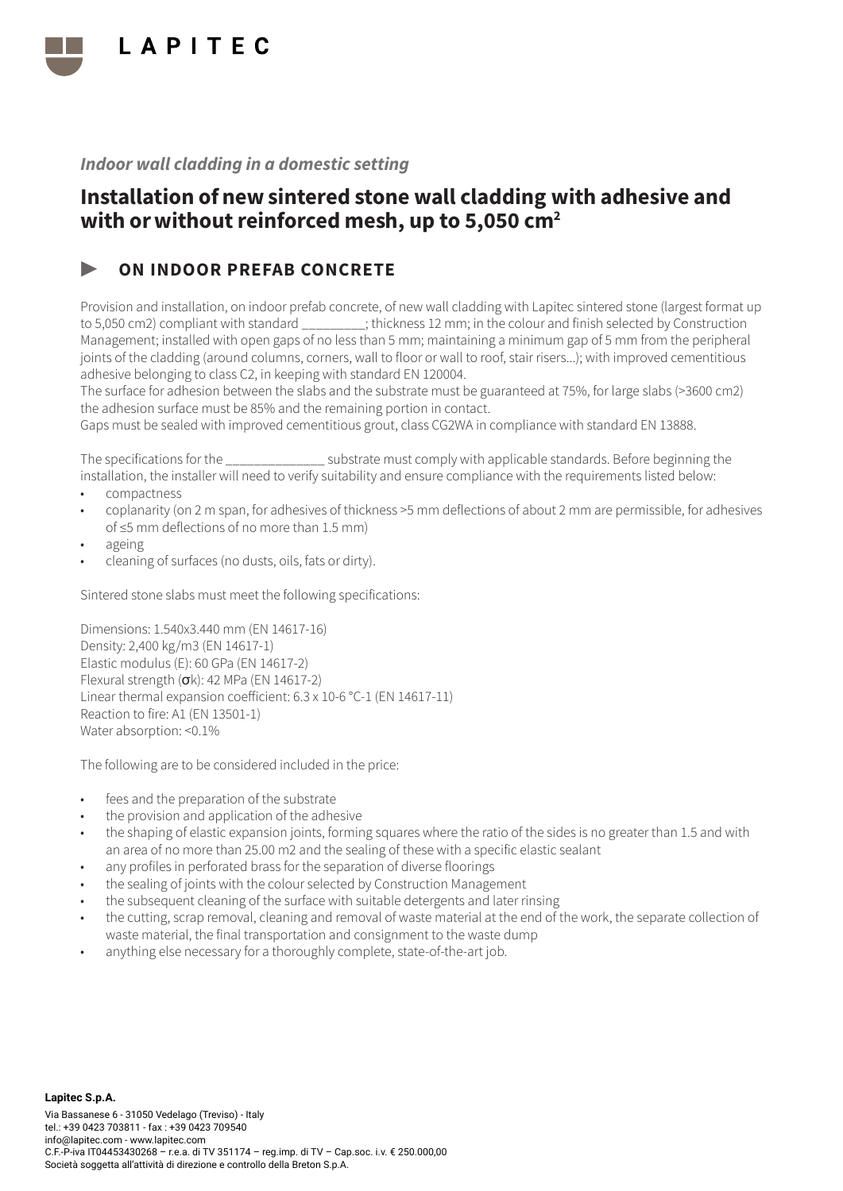

## Installation of new sintered stone wall cladding with adhesive and with or without reinforced mesh, up to 5,050 cm<sup>2</sup>

### ON INDOOR PREFAB CONCRETE

Provision and installation, on indoor prefab concrete, of new wall cladding with Lapitec sintered stone (largest format up to 5,050 cm2) compliant with standard \_\_\_\_\_\_\_\_\_; thickness 12 mm; in the colour and finish selected by Construction Management; installed with open gaps of no less than 5 mm; maintaining a minimum gap of 5 mm from the peripheral joints of the cladding (around columns, corners, wall to floor or wall to roof, stair risers...); with improved cementitious adhesive belonging to class C2, in keeping with standard EN 120004.

The surface for adhesion between the slabs and the substrate must be guaranteed at 75%, for large slabs (>3600 cm2) the adhesion surface must be 85% and the remaining portion in contact.

Gaps must be sealed with improved cementitious grout, class CG2WA in compliance with standard EN 13888.

The specifications for the  $\sim$  substrate must comply with applicable standards. Before beginning the installation, the installer will need to verify suitability and ensure compliance with the requirements listed below:

- compactness
- coplanarity (on 2 m span, for adhesives of thickness >5 mm deflections of about 2 mm are permissible, for adhesives of ≤5 mm deflections of no more than 1.5 mm)
- ageing
- cleaning of surfaces (no dusts, oils, fats or dirty).

Sintered stone slabs must meet the following specifications:

Dimensions: 1.540x3.440 mm (EN 14617-16) Density: 2,400 kg/m3 (EN 14617-1) Elastic modulus (E): 60 GPa (EN 14617-2) Flexural strength (σk): 42 MPa (EN 14617-2) Linear thermal expansion coefficient: 6.3 x 10-6 °C-1 (EN 14617-11) Reaction to fire: A1 (EN 13501-1) Water absorption: <0.1%

- fees and the preparation of the substrate
- the provision and application of the adhesive
- the shaping of elastic expansion joints, forming squares where the ratio of the sides is no greater than 1.5 and with an area of no more than 25.00 m2 and the sealing of these with a specific elastic sealant
- any profiles in perforated brass for the separation of diverse floorings
- the sealing of joints with the colour selected by Construction Management
- the subsequent cleaning of the surface with suitable detergents and later rinsing
- the cutting, scrap removal, cleaning and removal of waste material at the end of the work, the separate collection of waste material, the final transportation and consignment to the waste dump
- anything else necessary for a thoroughly complete, state-of-the-art job.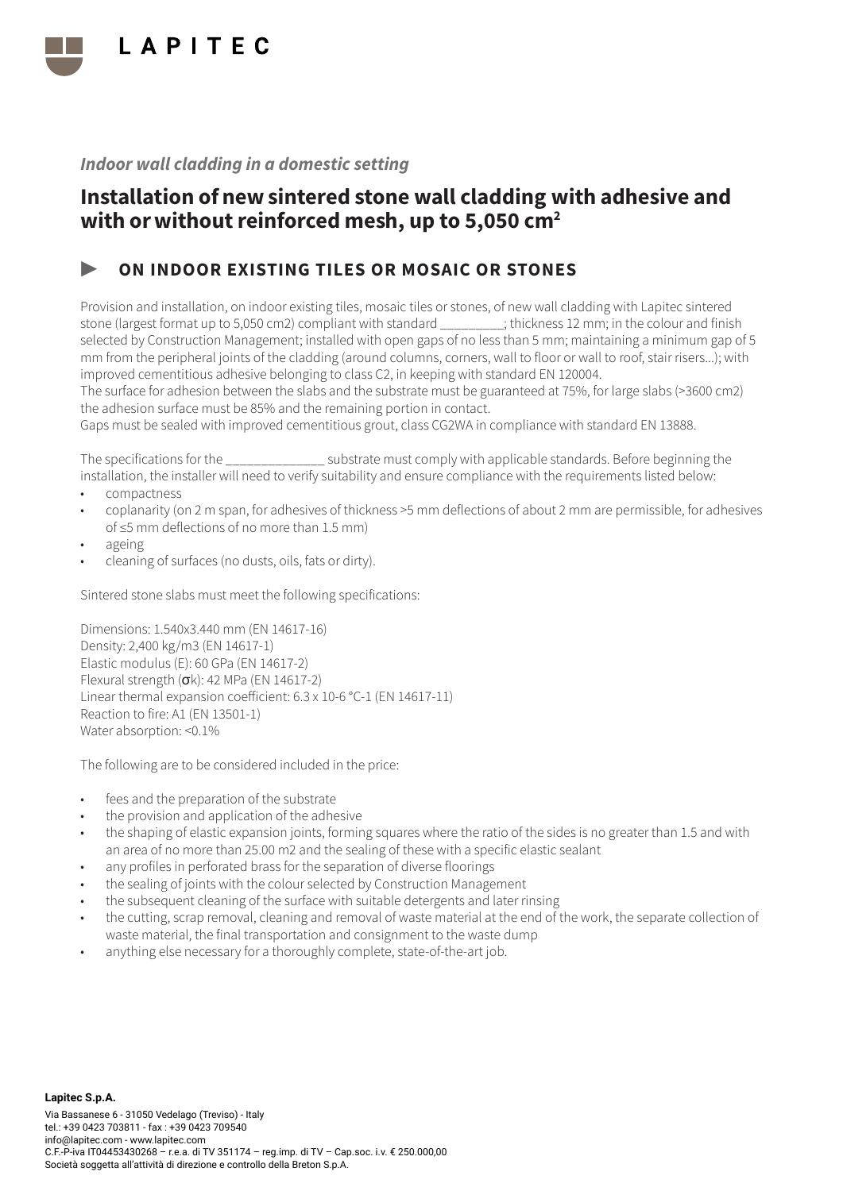

## Installation of new sintered stone wall cladding with adhesive and with or without reinforced mesh, up to 5,050 cm<sup>2</sup>

### ON INDOOR EXISTING TILES OR MOSAIC OR STONES

Provision and installation, on indoor existing tiles, mosaic tiles or stones, of new wall cladding with Lapitec sintered stone (largest format up to 5,050 cm2) compliant with standard \_\_\_\_\_\_\_\_\_; thickness 12 mm; in the colour and finish selected by Construction Management; installed with open gaps of no less than 5 mm; maintaining a minimum gap of 5 mm from the peripheral joints of the cladding (around columns, corners, wall to floor or wall to roof, stair risers...); with improved cementitious adhesive belonging to class C2, in keeping with standard EN 120004.

The surface for adhesion between the slabs and the substrate must be guaranteed at 75%, for large slabs (>3600 cm2) the adhesion surface must be 85% and the remaining portion in contact.

Gaps must be sealed with improved cementitious grout, class CG2WA in compliance with standard EN 13888.

The specifications for the  $\sim$  substrate must comply with applicable standards. Before beginning the installation, the installer will need to verify suitability and ensure compliance with the requirements listed below:

- compactness
- coplanarity (on 2 m span, for adhesives of thickness >5 mm deflections of about 2 mm are permissible, for adhesives of ≤5 mm deflections of no more than 1.5 mm)
- ageing
- cleaning of surfaces (no dusts, oils, fats or dirty).

Sintered stone slabs must meet the following specifications:

Dimensions: 1.540x3.440 mm (EN 14617-16) Density: 2,400 kg/m3 (EN 14617-1) Elastic modulus (E): 60 GPa (EN 14617-2) Flexural strength (σk): 42 MPa (EN 14617-2) Linear thermal expansion coefficient: 6.3 x 10-6 °C-1 (EN 14617-11) Reaction to fire: A1 (EN 13501-1) Water absorption: <0.1%

- fees and the preparation of the substrate
- the provision and application of the adhesive
- the shaping of elastic expansion joints, forming squares where the ratio of the sides is no greater than 1.5 and with an area of no more than 25.00 m2 and the sealing of these with a specific elastic sealant
- any profiles in perforated brass for the separation of diverse floorings
- the sealing of joints with the colour selected by Construction Management
- the subsequent cleaning of the surface with suitable detergents and later rinsing
- the cutting, scrap removal, cleaning and removal of waste material at the end of the work, the separate collection of waste material, the final transportation and consignment to the waste dump
- anything else necessary for a thoroughly complete, state-of-the-art job.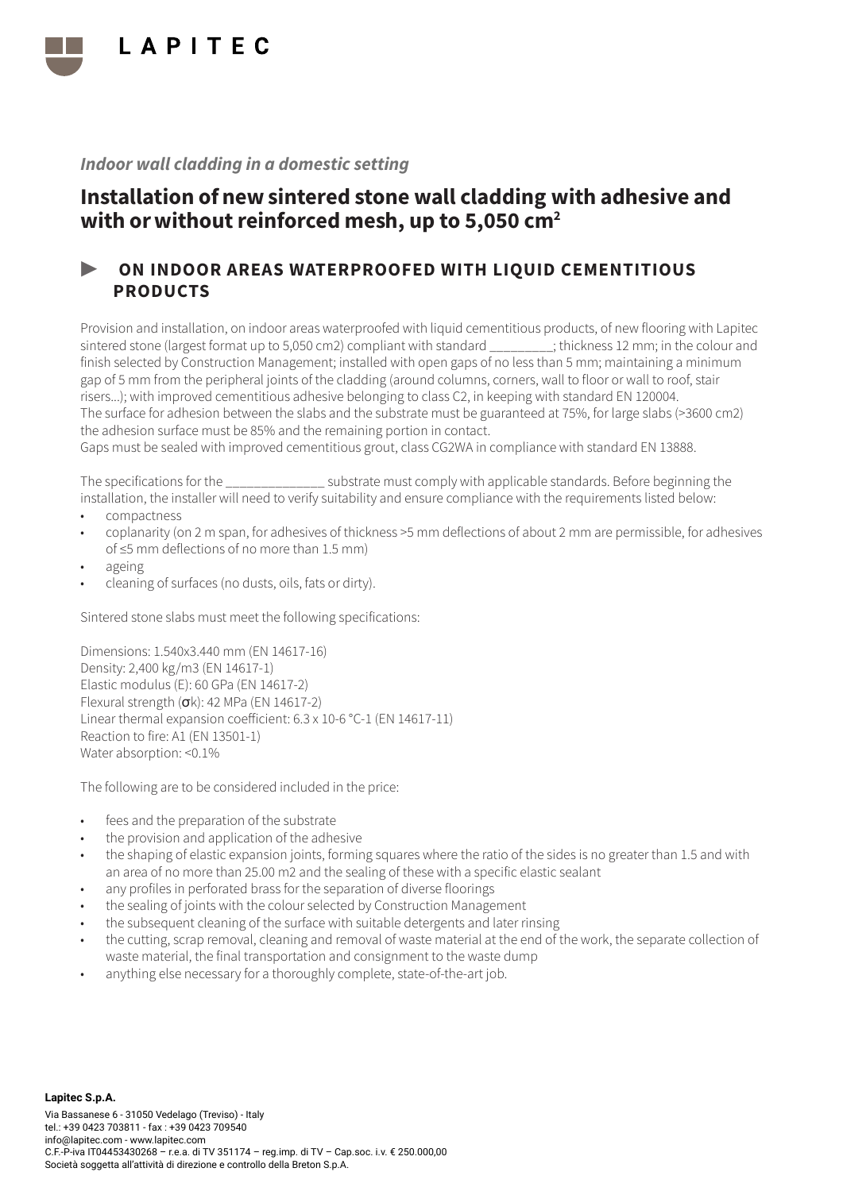

## Installation of new sintered stone wall cladding with adhesive and with or without reinforced mesh, up to 5,050 cm<sup>2</sup>

### ▶ ON INDOOR AREAS WATERPROOFED WITH LIQUID CEMENTITIOUS PRODUCTS

Provision and installation, on indoor areas waterproofed with liquid cementitious products, of new flooring with Lapitec sintered stone (largest format up to 5,050 cm2) compliant with standard  $\cdot$  thickness 12 mm; in the colour and finish selected by Construction Management; installed with open gaps of no less than 5 mm; maintaining a minimum gap of 5 mm from the peripheral joints of the cladding (around columns, corners, wall to floor or wall to roof, stair risers...); with improved cementitious adhesive belonging to class C2, in keeping with standard EN 120004. The surface for adhesion between the slabs and the substrate must be guaranteed at 75%, for large slabs (>3600 cm2) the adhesion surface must be 85% and the remaining portion in contact.

Gaps must be sealed with improved cementitious grout, class CG2WA in compliance with standard EN 13888.

The specifications for the \_\_\_\_\_\_\_\_\_\_\_\_\_\_ substrate must comply with applicable standards. Before beginning the installation, the installer will need to verify suitability and ensure compliance with the requirements listed below:

- compactness
- coplanarity (on 2 m span, for adhesives of thickness >5 mm deflections of about 2 mm are permissible, for adhesives of ≤5 mm deflections of no more than 1.5 mm)
- ageing
- cleaning of surfaces (no dusts, oils, fats or dirty).

Sintered stone slabs must meet the following specifications:

Dimensions: 1.540x3.440 mm (EN 14617-16) Density: 2,400 kg/m3 (EN 14617-1) Elastic modulus (E): 60 GPa (EN 14617-2) Flexural strength (σk): 42 MPa (EN 14617-2) Linear thermal expansion coefficient: 6.3 x 10-6 °C-1 (EN 14617-11) Reaction to fire: A1 (EN 13501-1) Water absorption: <0.1%

- fees and the preparation of the substrate
- the provision and application of the adhesive
- the shaping of elastic expansion joints, forming squares where the ratio of the sides is no greater than 1.5 and with an area of no more than 25.00 m2 and the sealing of these with a specific elastic sealant
- any profiles in perforated brass for the separation of diverse floorings
- the sealing of joints with the colour selected by Construction Management
- the subsequent cleaning of the surface with suitable detergents and later rinsing
- the cutting, scrap removal, cleaning and removal of waste material at the end of the work, the separate collection of waste material, the final transportation and consignment to the waste dump
- anything else necessary for a thoroughly complete, state-of-the-art job.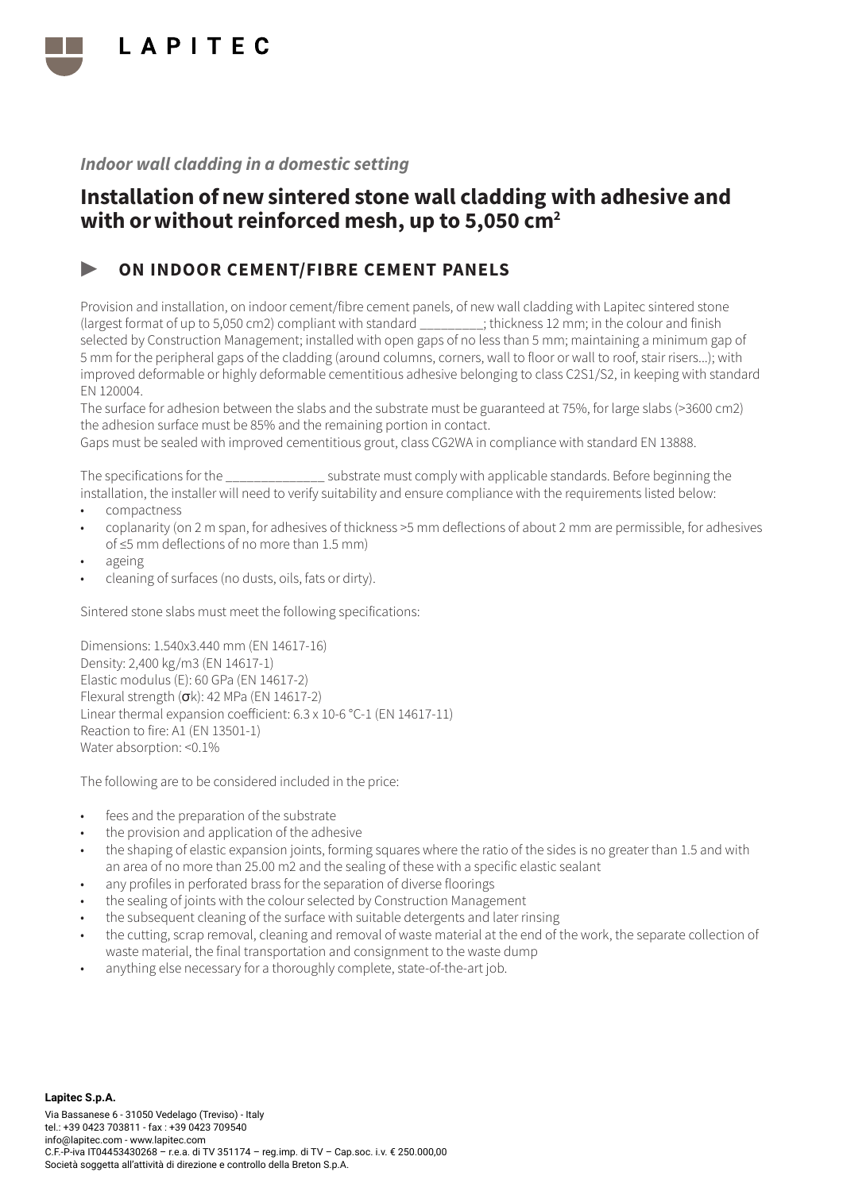

## Installation of new sintered stone wall cladding with adhesive and with or without reinforced mesh, up to 5,050 cm<sup>2</sup>

### ▶ ON INDOOR CEMENT/FIBRE CEMENT PANELS

Provision and installation, on indoor cement/fibre cement panels, of new wall cladding with Lapitec sintered stone (largest format of up to 5,050 cm2) compliant with standard \_\_\_\_\_\_\_\_\_; thickness 12 mm; in the colour and finish selected by Construction Management; installed with open gaps of no less than 5 mm; maintaining a minimum gap of 5 mm for the peripheral gaps of the cladding (around columns, corners, wall to floor or wall to roof, stair risers...); with improved deformable or highly deformable cementitious adhesive belonging to class C2S1/S2, in keeping with standard EN 120004.

The surface for adhesion between the slabs and the substrate must be guaranteed at 75%, for large slabs (>3600 cm2) the adhesion surface must be 85% and the remaining portion in contact.

Gaps must be sealed with improved cementitious grout, class CG2WA in compliance with standard EN 13888.

The specifications for the \_\_\_\_\_\_\_\_\_\_\_\_\_\_ substrate must comply with applicable standards. Before beginning the installation, the installer will need to verify suitability and ensure compliance with the requirements listed below:

- compactness
- coplanarity (on 2 m span, for adhesives of thickness >5 mm deflections of about 2 mm are permissible, for adhesives of ≤5 mm deflections of no more than 1.5 mm)
- ageing
- cleaning of surfaces (no dusts, oils, fats or dirty).

Sintered stone slabs must meet the following specifications:

Dimensions: 1.540x3.440 mm (EN 14617-16) Density: 2,400 kg/m3 (EN 14617-1) Elastic modulus (E): 60 GPa (EN 14617-2) Flexural strength  $(\sigma k)$ : 42 MPa (EN 14617-2) Linear thermal expansion coefficient: 6.3 x 10-6 °C-1 (EN 14617-11) Reaction to fire: A1 (EN 13501-1) Water absorption: <0.1%

- fees and the preparation of the substrate
- the provision and application of the adhesive
- the shaping of elastic expansion joints, forming squares where the ratio of the sides is no greater than 1.5 and with an area of no more than 25.00 m2 and the sealing of these with a specific elastic sealant
- any profiles in perforated brass for the separation of diverse floorings
- the sealing of joints with the colour selected by Construction Management
- the subsequent cleaning of the surface with suitable detergents and later rinsing
- the cutting, scrap removal, cleaning and removal of waste material at the end of the work, the separate collection of waste material, the final transportation and consignment to the waste dump
- anything else necessary for a thoroughly complete, state-of-the-art job.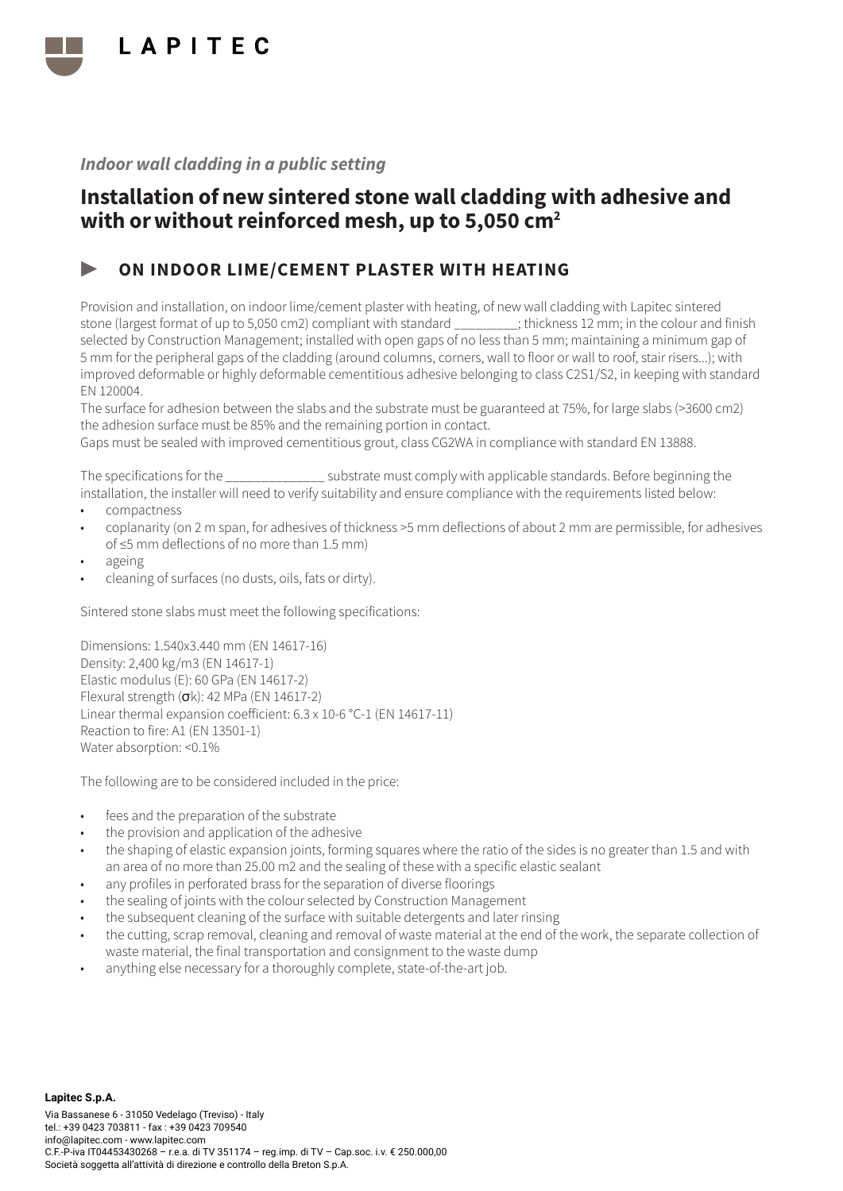

## Installation of new sintered stone wall cladding with adhesive and with or without reinforced mesh, up to 5,050 cm<sup>2</sup>

### ▶ ON INDOOR LIME/CEMENT PLASTER WITH HEATING

Provision and installation, on indoor lime/cement plaster with heating, of new wall cladding with Lapitec sintered stone (largest format of up to 5,050 cm2) compliant with standard \_\_\_\_\_\_\_\_\_; thickness 12 mm; in the colour and finish selected by Construction Management; installed with open gaps of no less than 5 mm; maintaining a minimum gap of 5 mm for the peripheral gaps of the cladding (around columns, corners, wall to floor or wall to roof, stair risers...); with improved deformable or highly deformable cementitious adhesive belonging to class C2S1/S2, in keeping with standard EN 120004.

The surface for adhesion between the slabs and the substrate must be guaranteed at 75%, for large slabs (>3600 cm2) the adhesion surface must be 85% and the remaining portion in contact.

Gaps must be sealed with improved cementitious grout, class CG2WA in compliance with standard EN 13888.

The specifications for the \_\_\_\_\_\_\_\_\_\_\_\_\_\_ substrate must comply with applicable standards. Before beginning the installation, the installer will need to verify suitability and ensure compliance with the requirements listed below:

- compactness
- coplanarity (on 2 m span, for adhesives of thickness >5 mm deflections of about 2 mm are permissible, for adhesives of ≤5 mm deflections of no more than 1.5 mm)
- ageing
- cleaning of surfaces (no dusts, oils, fats or dirty).

Sintered stone slabs must meet the following specifications:

Dimensions: 1.540x3.440 mm (EN 14617-16) Density: 2,400 kg/m3 (EN 14617-1) Elastic modulus (E): 60 GPa (EN 14617-2) Flexural strength  $(\sigma k)$ : 42 MPa (EN 14617-2) Linear thermal expansion coefficient: 6.3 x 10-6 °C-1 (EN 14617-11) Reaction to fire: A1 (EN 13501-1) Water absorption: <0.1%

- fees and the preparation of the substrate
- the provision and application of the adhesive
- the shaping of elastic expansion joints, forming squares where the ratio of the sides is no greater than 1.5 and with an area of no more than 25.00 m2 and the sealing of these with a specific elastic sealant
- any profiles in perforated brass for the separation of diverse floorings
- the sealing of joints with the colour selected by Construction Management
- the subsequent cleaning of the surface with suitable detergents and later rinsing
- the cutting, scrap removal, cleaning and removal of waste material at the end of the work, the separate collection of waste material, the final transportation and consignment to the waste dump
- anything else necessary for a thoroughly complete, state-of-the-art job.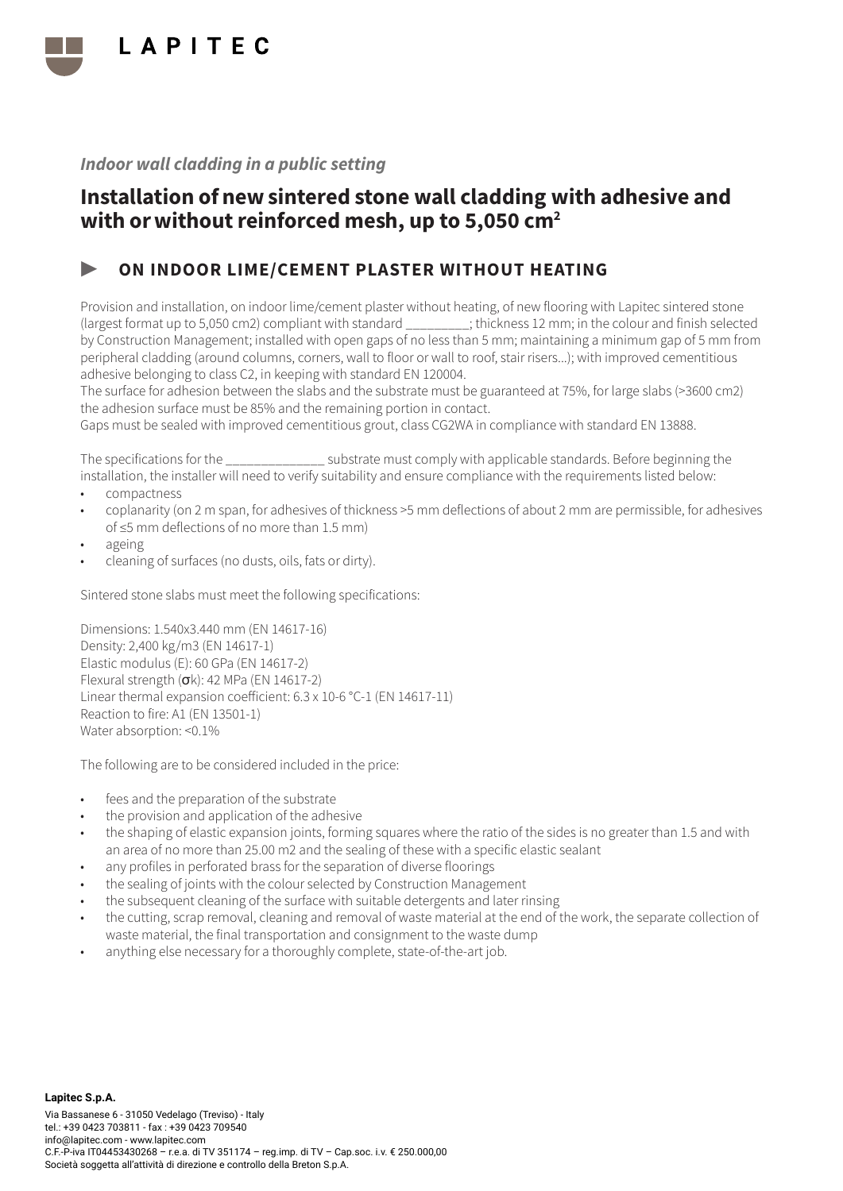

## Installation of new sintered stone wall cladding with adhesive and with or without reinforced mesh, up to 5,050 cm<sup>2</sup>

### ▶ ON INDOOR LIME/CEMENT PLASTER WITHOUT HEATING

Provision and installation, on indoor lime/cement plaster without heating, of new flooring with Lapitec sintered stone (largest format up to 5,050 cm2) compliant with standard \_\_\_\_\_\_\_\_\_; thickness 12 mm; in the colour and finish selected by Construction Management; installed with open gaps of no less than 5 mm; maintaining a minimum gap of 5 mm from peripheral cladding (around columns, corners, wall to floor or wall to roof, stair risers...); with improved cementitious adhesive belonging to class C2, in keeping with standard EN 120004.

The surface for adhesion between the slabs and the substrate must be guaranteed at 75%, for large slabs (>3600 cm2) the adhesion surface must be 85% and the remaining portion in contact.

Gaps must be sealed with improved cementitious grout, class CG2WA in compliance with standard EN 13888.

The specifications for the  $\sim$  substrate must comply with applicable standards. Before beginning the installation, the installer will need to verify suitability and ensure compliance with the requirements listed below:

- compactness
- coplanarity (on 2 m span, for adhesives of thickness >5 mm deflections of about 2 mm are permissible, for adhesives of ≤5 mm deflections of no more than 1.5 mm)
- ageing
- cleaning of surfaces (no dusts, oils, fats or dirty).

Sintered stone slabs must meet the following specifications:

Dimensions: 1.540x3.440 mm (EN 14617-16) Density: 2,400 kg/m3 (EN 14617-1) Elastic modulus (E): 60 GPa (EN 14617-2) Flexural strength (σk): 42 MPa (EN 14617-2) Linear thermal expansion coefficient: 6.3 x 10-6 °C-1 (EN 14617-11) Reaction to fire: A1 (EN 13501-1) Water absorption: <0.1%

- fees and the preparation of the substrate
- the provision and application of the adhesive
- the shaping of elastic expansion joints, forming squares where the ratio of the sides is no greater than 1.5 and with an area of no more than 25.00 m2 and the sealing of these with a specific elastic sealant
- any profiles in perforated brass for the separation of diverse floorings
- the sealing of joints with the colour selected by Construction Management
- the subsequent cleaning of the surface with suitable detergents and later rinsing
- the cutting, scrap removal, cleaning and removal of waste material at the end of the work, the separate collection of waste material, the final transportation and consignment to the waste dump
- anything else necessary for a thoroughly complete, state-of-the-art job.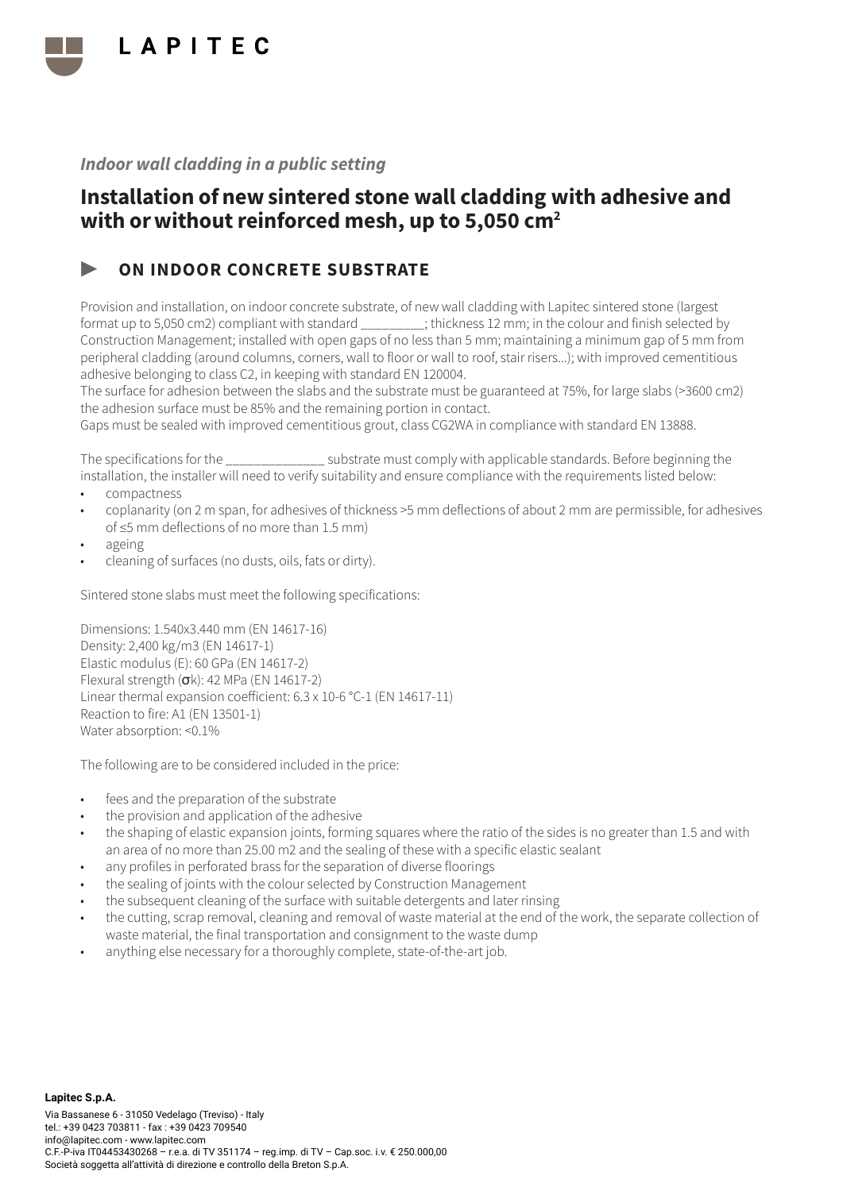

## Installation of new sintered stone wall cladding with adhesive and with or without reinforced mesh, up to 5,050 cm<sup>2</sup>

### ON INDOOR CONCRETE SUBSTRATE

Provision and installation, on indoor concrete substrate, of new wall cladding with Lapitec sintered stone (largest format up to 5,050 cm2) compliant with standard \_\_\_\_\_\_\_\_\_; thickness 12 mm; in the colour and finish selected by Construction Management; installed with open gaps of no less than 5 mm; maintaining a minimum gap of 5 mm from peripheral cladding (around columns, corners, wall to floor or wall to roof, stair risers...); with improved cementitious adhesive belonging to class C2, in keeping with standard EN 120004.

The surface for adhesion between the slabs and the substrate must be guaranteed at 75%, for large slabs (>3600 cm2) the adhesion surface must be 85% and the remaining portion in contact.

Gaps must be sealed with improved cementitious grout, class CG2WA in compliance with standard EN 13888.

The specifications for the  $\sim$  substrate must comply with applicable standards. Before beginning the installation, the installer will need to verify suitability and ensure compliance with the requirements listed below:

- compactness
- coplanarity (on 2 m span, for adhesives of thickness >5 mm deflections of about 2 mm are permissible, for adhesives of ≤5 mm deflections of no more than 1.5 mm)
- ageing
- cleaning of surfaces (no dusts, oils, fats or dirty).

Sintered stone slabs must meet the following specifications:

Dimensions: 1.540x3.440 mm (EN 14617-16) Density: 2,400 kg/m3 (EN 14617-1) Elastic modulus (E): 60 GPa (EN 14617-2) Flexural strength (σk): 42 MPa (EN 14617-2) Linear thermal expansion coefficient: 6.3 x 10-6 °C-1 (EN 14617-11) Reaction to fire: A1 (EN 13501-1) Water absorption: <0.1%

- fees and the preparation of the substrate
- the provision and application of the adhesive
- the shaping of elastic expansion joints, forming squares where the ratio of the sides is no greater than 1.5 and with an area of no more than 25.00 m2 and the sealing of these with a specific elastic sealant
- any profiles in perforated brass for the separation of diverse floorings
- the sealing of joints with the colour selected by Construction Management
- the subsequent cleaning of the surface with suitable detergents and later rinsing
- the cutting, scrap removal, cleaning and removal of waste material at the end of the work, the separate collection of waste material, the final transportation and consignment to the waste dump
- anything else necessary for a thoroughly complete, state-of-the-art job.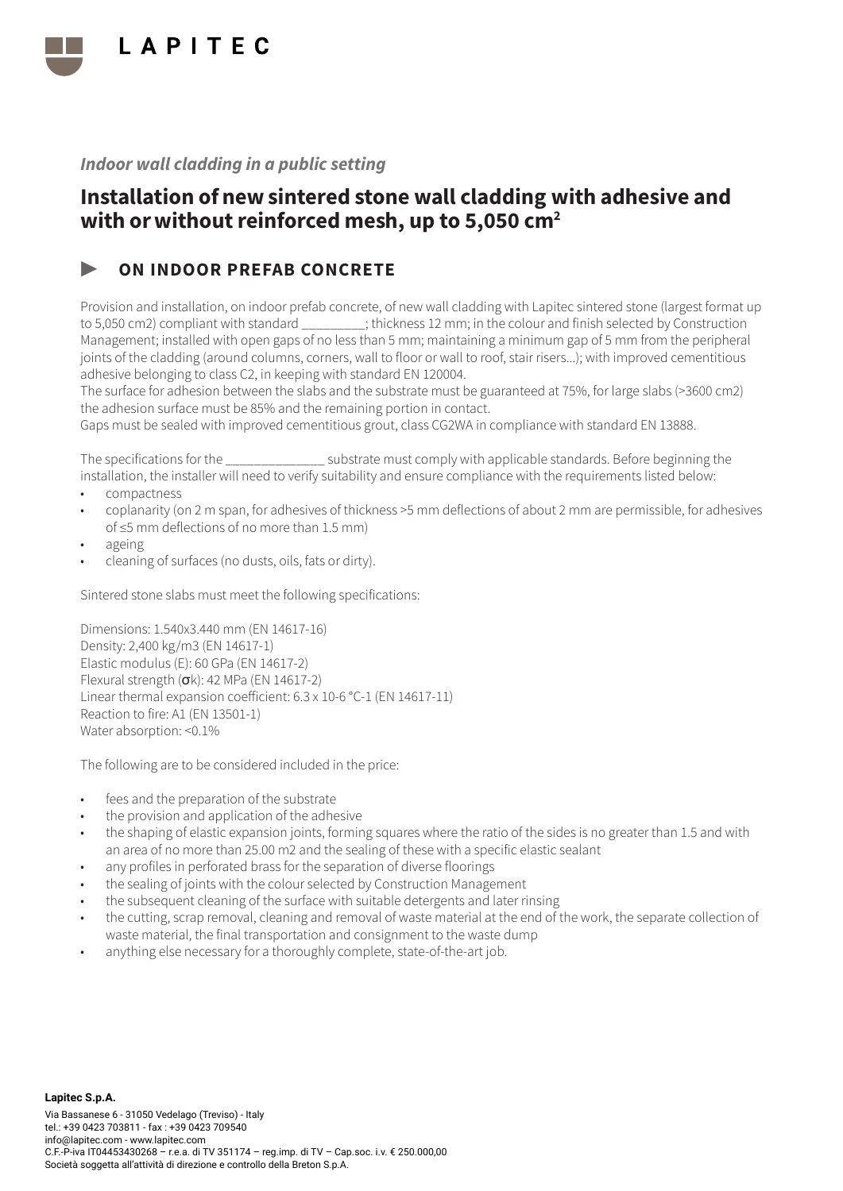

## Installation of new sintered stone wall cladding with adhesive and with or without reinforced mesh, up to 5,050 cm<sup>2</sup>

### ON INDOOR PREFAB CONCRETE

Provision and installation, on indoor prefab concrete, of new wall cladding with Lapitec sintered stone (largest format up to 5,050 cm2) compliant with standard \_\_\_\_\_\_\_\_\_; thickness 12 mm; in the colour and finish selected by Construction Management; installed with open gaps of no less than 5 mm; maintaining a minimum gap of 5 mm from the peripheral joints of the cladding (around columns, corners, wall to floor or wall to roof, stair risers...); with improved cementitious adhesive belonging to class C2, in keeping with standard EN 120004.

The surface for adhesion between the slabs and the substrate must be guaranteed at 75%, for large slabs (>3600 cm2) the adhesion surface must be 85% and the remaining portion in contact.

Gaps must be sealed with improved cementitious grout, class CG2WA in compliance with standard EN 13888.

The specifications for the  $\sim$  substrate must comply with applicable standards. Before beginning the installation, the installer will need to verify suitability and ensure compliance with the requirements listed below:

- compactness
- coplanarity (on 2 m span, for adhesives of thickness >5 mm deflections of about 2 mm are permissible, for adhesives of ≤5 mm deflections of no more than 1.5 mm)
- ageing
- cleaning of surfaces (no dusts, oils, fats or dirty).

Sintered stone slabs must meet the following specifications:

Dimensions: 1.540x3.440 mm (EN 14617-16) Density: 2,400 kg/m3 (EN 14617-1) Elastic modulus (E): 60 GPa (EN 14617-2) Flexural strength (σk): 42 MPa (EN 14617-2) Linear thermal expansion coefficient: 6.3 x 10-6 °C-1 (EN 14617-11) Reaction to fire: A1 (EN 13501-1) Water absorption: <0.1%

- fees and the preparation of the substrate
- the provision and application of the adhesive
- the shaping of elastic expansion joints, forming squares where the ratio of the sides is no greater than 1.5 and with an area of no more than 25.00 m2 and the sealing of these with a specific elastic sealant
- any profiles in perforated brass for the separation of diverse floorings
- the sealing of joints with the colour selected by Construction Management
- the subsequent cleaning of the surface with suitable detergents and later rinsing
- the cutting, scrap removal, cleaning and removal of waste material at the end of the work, the separate collection of waste material, the final transportation and consignment to the waste dump
- anything else necessary for a thoroughly complete, state-of-the-art job.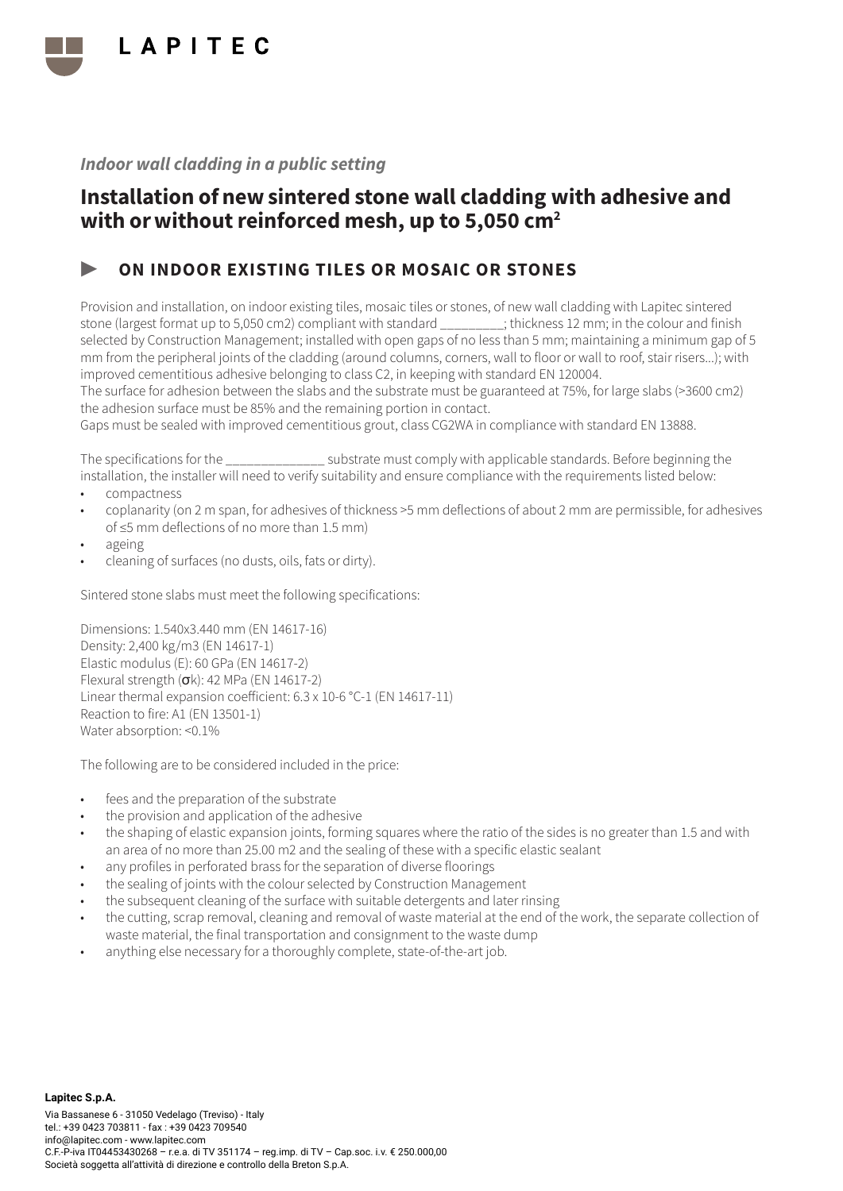

## Installation of new sintered stone wall cladding with adhesive and with or without reinforced mesh, up to 5,050 cm<sup>2</sup>

### ON INDOOR EXISTING TILES OR MOSAIC OR STONES

Provision and installation, on indoor existing tiles, mosaic tiles or stones, of new wall cladding with Lapitec sintered stone (largest format up to 5,050 cm2) compliant with standard \_\_\_\_\_\_\_\_\_; thickness 12 mm; in the colour and finish selected by Construction Management; installed with open gaps of no less than 5 mm; maintaining a minimum gap of 5 mm from the peripheral joints of the cladding (around columns, corners, wall to floor or wall to roof, stair risers...); with improved cementitious adhesive belonging to class C2, in keeping with standard EN 120004.

The surface for adhesion between the slabs and the substrate must be guaranteed at 75%, for large slabs (>3600 cm2) the adhesion surface must be 85% and the remaining portion in contact.

Gaps must be sealed with improved cementitious grout, class CG2WA in compliance with standard EN 13888.

The specifications for the  $\sim$  substrate must comply with applicable standards. Before beginning the installation, the installer will need to verify suitability and ensure compliance with the requirements listed below:

- compactness
- coplanarity (on 2 m span, for adhesives of thickness >5 mm deflections of about 2 mm are permissible, for adhesives of ≤5 mm deflections of no more than 1.5 mm)
- ageing
- cleaning of surfaces (no dusts, oils, fats or dirty).

Sintered stone slabs must meet the following specifications:

Dimensions: 1.540x3.440 mm (EN 14617-16) Density: 2,400 kg/m3 (EN 14617-1) Elastic modulus (E): 60 GPa (EN 14617-2) Flexural strength (σk): 42 MPa (EN 14617-2) Linear thermal expansion coefficient: 6.3 x 10-6 °C-1 (EN 14617-11) Reaction to fire: A1 (EN 13501-1) Water absorption: <0.1%

- fees and the preparation of the substrate
- the provision and application of the adhesive
- the shaping of elastic expansion joints, forming squares where the ratio of the sides is no greater than 1.5 and with an area of no more than 25.00 m2 and the sealing of these with a specific elastic sealant
- any profiles in perforated brass for the separation of diverse floorings
- the sealing of joints with the colour selected by Construction Management
- the subsequent cleaning of the surface with suitable detergents and later rinsing
- the cutting, scrap removal, cleaning and removal of waste material at the end of the work, the separate collection of waste material, the final transportation and consignment to the waste dump
- anything else necessary for a thoroughly complete, state-of-the-art job.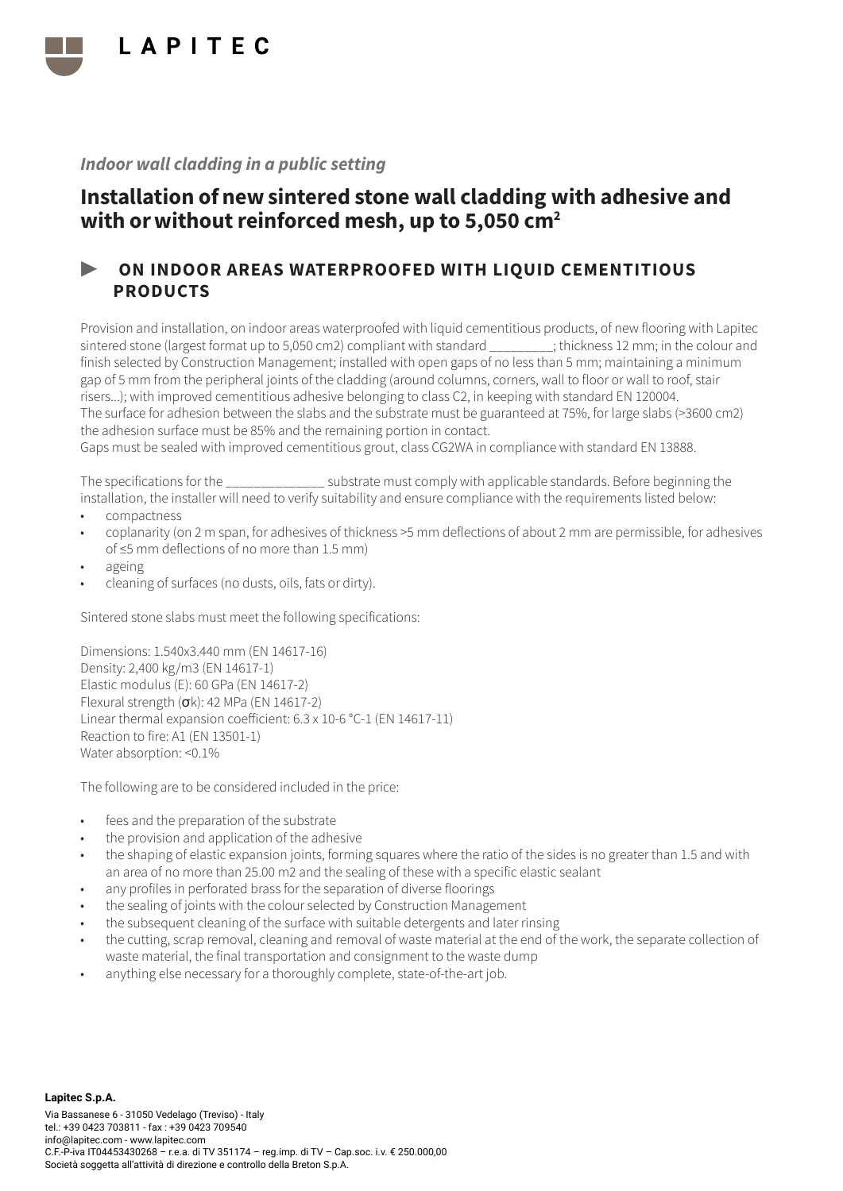

## Installation of new sintered stone wall cladding with adhesive and with or without reinforced mesh, up to 5,050 cm<sup>2</sup>

### ▶ ON INDOOR AREAS WATERPROOFED WITH LIQUID CEMENTITIOUS PRODUCTS

Provision and installation, on indoor areas waterproofed with liquid cementitious products, of new flooring with Lapitec sintered stone (largest format up to 5,050 cm2) compliant with standard  $\cdot$  thickness 12 mm; in the colour and finish selected by Construction Management; installed with open gaps of no less than 5 mm; maintaining a minimum gap of 5 mm from the peripheral joints of the cladding (around columns, corners, wall to floor or wall to roof, stair risers...); with improved cementitious adhesive belonging to class C2, in keeping with standard EN 120004. The surface for adhesion between the slabs and the substrate must be guaranteed at 75%, for large slabs (>3600 cm2) the adhesion surface must be 85% and the remaining portion in contact.

Gaps must be sealed with improved cementitious grout, class CG2WA in compliance with standard EN 13888.

The specifications for the \_\_\_\_\_\_\_\_\_\_\_\_\_\_ substrate must comply with applicable standards. Before beginning the installation, the installer will need to verify suitability and ensure compliance with the requirements listed below:

- compactness
- coplanarity (on 2 m span, for adhesives of thickness >5 mm deflections of about 2 mm are permissible, for adhesives of ≤5 mm deflections of no more than 1.5 mm)
- ageing
- cleaning of surfaces (no dusts, oils, fats or dirty).

Sintered stone slabs must meet the following specifications:

Dimensions: 1.540x3.440 mm (EN 14617-16) Density: 2,400 kg/m3 (EN 14617-1) Elastic modulus (E): 60 GPa (EN 14617-2) Flexural strength (σk): 42 MPa (EN 14617-2) Linear thermal expansion coefficient: 6.3 x 10-6 °C-1 (EN 14617-11) Reaction to fire: A1 (EN 13501-1) Water absorption: <0.1%

- fees and the preparation of the substrate
- the provision and application of the adhesive
- the shaping of elastic expansion joints, forming squares where the ratio of the sides is no greater than 1.5 and with an area of no more than 25.00 m2 and the sealing of these with a specific elastic sealant
- any profiles in perforated brass for the separation of diverse floorings
- the sealing of joints with the colour selected by Construction Management
- the subsequent cleaning of the surface with suitable detergents and later rinsing
- the cutting, scrap removal, cleaning and removal of waste material at the end of the work, the separate collection of waste material, the final transportation and consignment to the waste dump
- anything else necessary for a thoroughly complete, state-of-the-art job.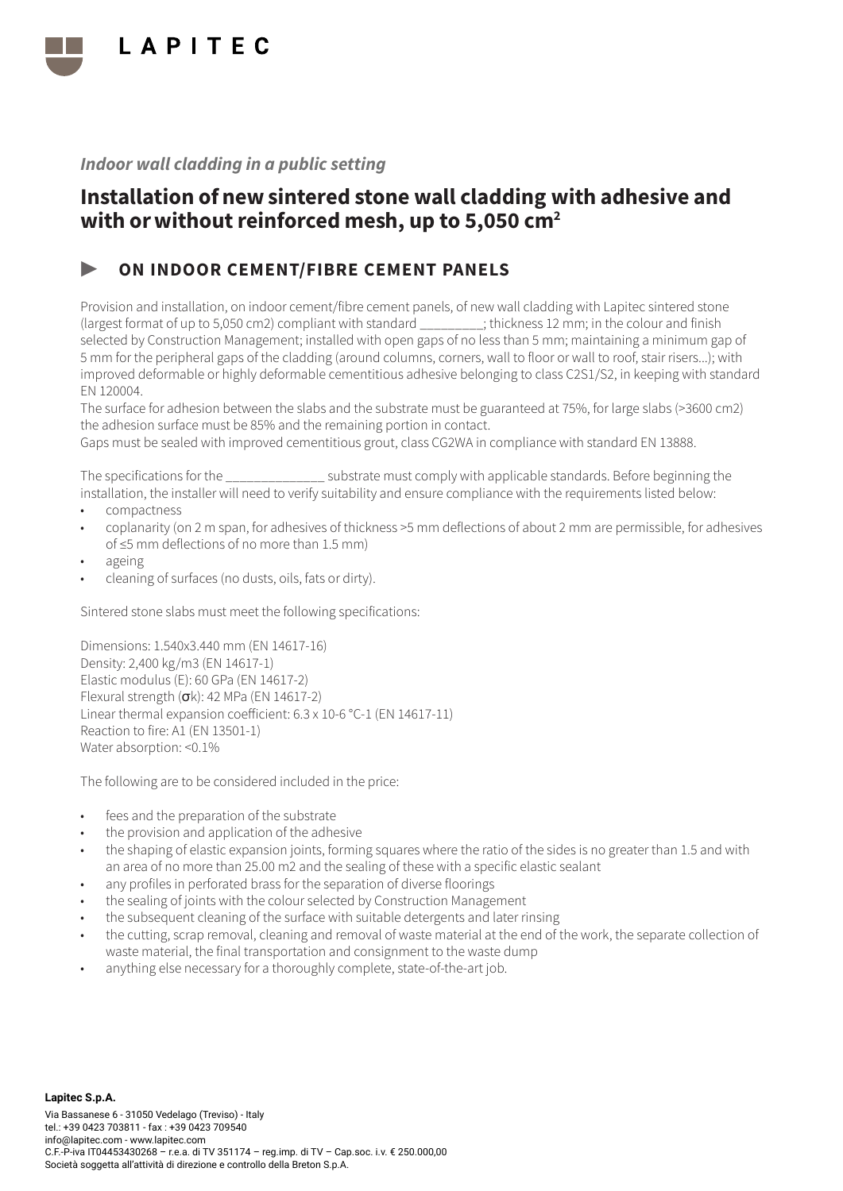

## Installation of new sintered stone wall cladding with adhesive and with or without reinforced mesh, up to 5,050 cm<sup>2</sup>

### ▶ ON INDOOR CEMENT/FIBRE CEMENT PANELS

Provision and installation, on indoor cement/fibre cement panels, of new wall cladding with Lapitec sintered stone (largest format of up to 5,050 cm2) compliant with standard \_\_\_\_\_\_\_\_\_; thickness 12 mm; in the colour and finish selected by Construction Management; installed with open gaps of no less than 5 mm; maintaining a minimum gap of 5 mm for the peripheral gaps of the cladding (around columns, corners, wall to floor or wall to roof, stair risers...); with improved deformable or highly deformable cementitious adhesive belonging to class C2S1/S2, in keeping with standard EN 120004.

The surface for adhesion between the slabs and the substrate must be guaranteed at 75%, for large slabs (>3600 cm2) the adhesion surface must be 85% and the remaining portion in contact.

Gaps must be sealed with improved cementitious grout, class CG2WA in compliance with standard EN 13888.

The specifications for the  $\sim$  substrate must comply with applicable standards. Before beginning the installation, the installer will need to verify suitability and ensure compliance with the requirements listed below:

- compactness
- coplanarity (on 2 m span, for adhesives of thickness >5 mm deflections of about 2 mm are permissible, for adhesives of ≤5 mm deflections of no more than 1.5 mm)
- ageing
- cleaning of surfaces (no dusts, oils, fats or dirty).

Sintered stone slabs must meet the following specifications:

Dimensions: 1.540x3.440 mm (EN 14617-16) Density: 2,400 kg/m3 (EN 14617-1) Elastic modulus (E): 60 GPa (EN 14617-2) Flexural strength  $(\sigma k)$ : 42 MPa (EN 14617-2) Linear thermal expansion coefficient: 6.3 x 10-6 °C-1 (EN 14617-11) Reaction to fire: A1 (EN 13501-1) Water absorption: <0.1%

- fees and the preparation of the substrate
- the provision and application of the adhesive
- the shaping of elastic expansion joints, forming squares where the ratio of the sides is no greater than 1.5 and with an area of no more than 25.00 m2 and the sealing of these with a specific elastic sealant
- any profiles in perforated brass for the separation of diverse floorings
- the sealing of joints with the colour selected by Construction Management
- the subsequent cleaning of the surface with suitable detergents and later rinsing
- the cutting, scrap removal, cleaning and removal of waste material at the end of the work, the separate collection of waste material, the final transportation and consignment to the waste dump
- anything else necessary for a thoroughly complete, state-of-the-art job.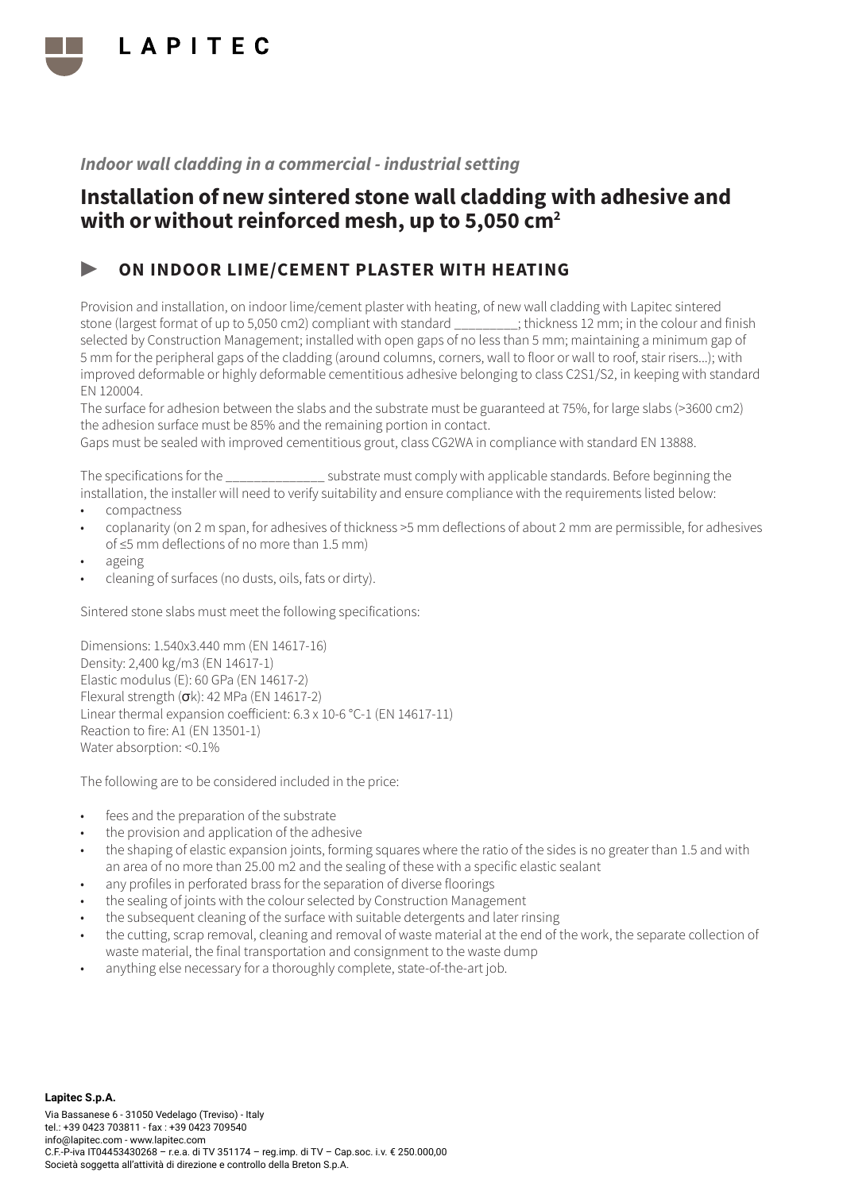

## Installation of new sintered stone wall cladding with adhesive and with or without reinforced mesh, up to 5,050 cm<sup>2</sup>

### ▶ ON INDOOR LIME/CEMENT PLASTER WITH HEATING

Provision and installation, on indoor lime/cement plaster with heating, of new wall cladding with Lapitec sintered stone (largest format of up to 5,050 cm2) compliant with standard \_\_\_\_\_\_\_\_\_; thickness 12 mm; in the colour and finish selected by Construction Management; installed with open gaps of no less than 5 mm; maintaining a minimum gap of 5 mm for the peripheral gaps of the cladding (around columns, corners, wall to floor or wall to roof, stair risers...); with improved deformable or highly deformable cementitious adhesive belonging to class C2S1/S2, in keeping with standard EN 120004.

The surface for adhesion between the slabs and the substrate must be guaranteed at 75%, for large slabs (>3600 cm2) the adhesion surface must be 85% and the remaining portion in contact.

Gaps must be sealed with improved cementitious grout, class CG2WA in compliance with standard EN 13888.

The specifications for the \_\_\_\_\_\_\_\_\_\_\_\_\_\_ substrate must comply with applicable standards. Before beginning the installation, the installer will need to verify suitability and ensure compliance with the requirements listed below:

- compactness
- coplanarity (on 2 m span, for adhesives of thickness >5 mm deflections of about 2 mm are permissible, for adhesives of ≤5 mm deflections of no more than 1.5 mm)
- ageing
- cleaning of surfaces (no dusts, oils, fats or dirty).

Sintered stone slabs must meet the following specifications:

Dimensions: 1.540x3.440 mm (EN 14617-16) Density: 2,400 kg/m3 (EN 14617-1) Elastic modulus (E): 60 GPa (EN 14617-2) Flexural strength  $(\sigma k)$ : 42 MPa (EN 14617-2) Linear thermal expansion coefficient: 6.3 x 10-6 °C-1 (EN 14617-11) Reaction to fire: A1 (EN 13501-1) Water absorption: <0.1%

- fees and the preparation of the substrate
- the provision and application of the adhesive
- the shaping of elastic expansion joints, forming squares where the ratio of the sides is no greater than 1.5 and with an area of no more than 25.00 m2 and the sealing of these with a specific elastic sealant
- any profiles in perforated brass for the separation of diverse floorings
- the sealing of joints with the colour selected by Construction Management
- the subsequent cleaning of the surface with suitable detergents and later rinsing
- the cutting, scrap removal, cleaning and removal of waste material at the end of the work, the separate collection of waste material, the final transportation and consignment to the waste dump
- anything else necessary for a thoroughly complete, state-of-the-art job.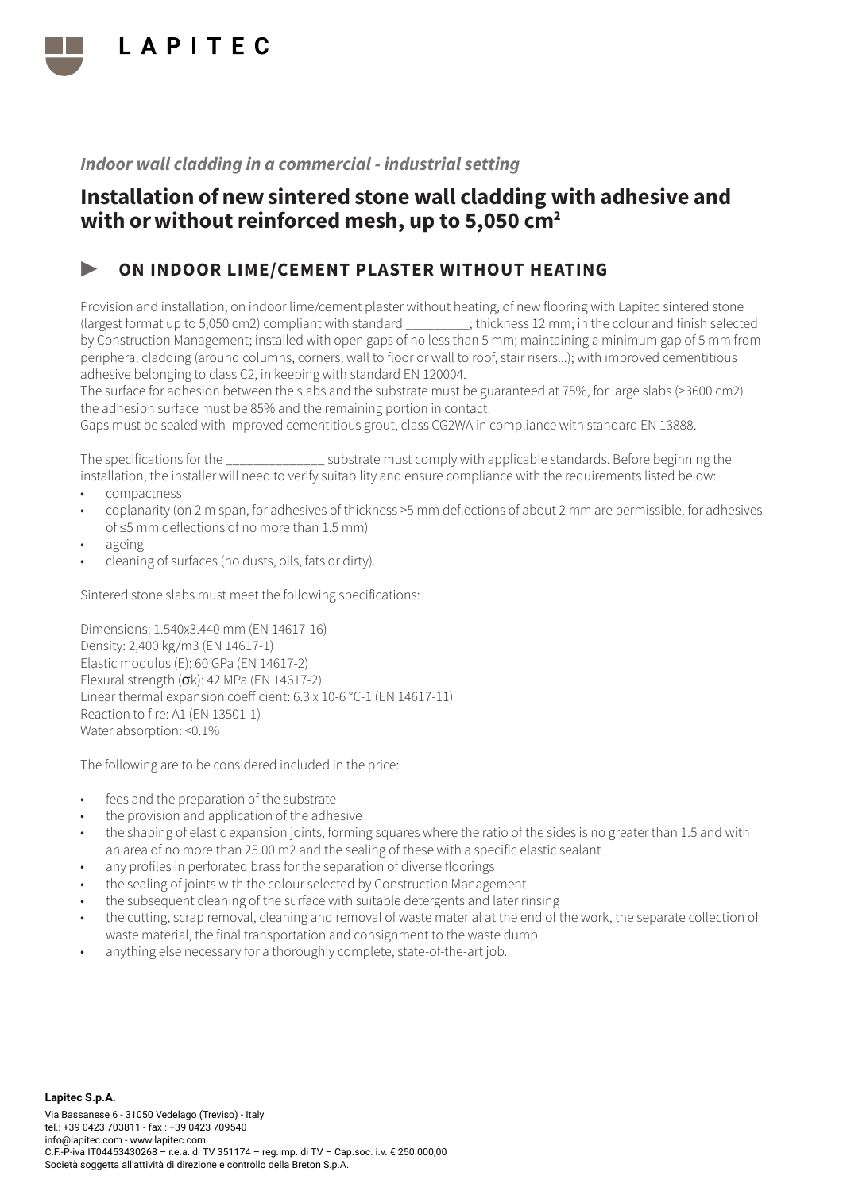

## Installation of new sintered stone wall cladding with adhesive and with or without reinforced mesh, up to 5,050 cm<sup>2</sup>

### ▶ ON INDOOR LIME/CEMENT PLASTER WITHOUT HEATING

Provision and installation, on indoor lime/cement plaster without heating, of new flooring with Lapitec sintered stone (largest format up to 5,050 cm2) compliant with standard \_\_\_\_\_\_\_\_\_; thickness 12 mm; in the colour and finish selected by Construction Management; installed with open gaps of no less than 5 mm; maintaining a minimum gap of 5 mm from peripheral cladding (around columns, corners, wall to floor or wall to roof, stair risers...); with improved cementitious adhesive belonging to class C2, in keeping with standard EN 120004.

The surface for adhesion between the slabs and the substrate must be guaranteed at 75%, for large slabs (>3600 cm2) the adhesion surface must be 85% and the remaining portion in contact.

Gaps must be sealed with improved cementitious grout, class CG2WA in compliance with standard EN 13888.

The specifications for the  $\sim$  substrate must comply with applicable standards. Before beginning the installation, the installer will need to verify suitability and ensure compliance with the requirements listed below:

- compactness
- coplanarity (on 2 m span, for adhesives of thickness >5 mm deflections of about 2 mm are permissible, for adhesives of ≤5 mm deflections of no more than 1.5 mm)
- ageing
- cleaning of surfaces (no dusts, oils, fats or dirty).

Sintered stone slabs must meet the following specifications:

Dimensions: 1.540x3.440 mm (EN 14617-16) Density: 2,400 kg/m3 (EN 14617-1) Elastic modulus (E): 60 GPa (EN 14617-2) Flexural strength (σk): 42 MPa (EN 14617-2) Linear thermal expansion coefficient: 6.3 x 10-6 °C-1 (EN 14617-11) Reaction to fire: A1 (EN 13501-1) Water absorption: <0.1%

- fees and the preparation of the substrate
- the provision and application of the adhesive
- the shaping of elastic expansion joints, forming squares where the ratio of the sides is no greater than 1.5 and with an area of no more than 25.00 m2 and the sealing of these with a specific elastic sealant
- any profiles in perforated brass for the separation of diverse floorings
- the sealing of joints with the colour selected by Construction Management
- the subsequent cleaning of the surface with suitable detergents and later rinsing
- the cutting, scrap removal, cleaning and removal of waste material at the end of the work, the separate collection of waste material, the final transportation and consignment to the waste dump
- anything else necessary for a thoroughly complete, state-of-the-art job.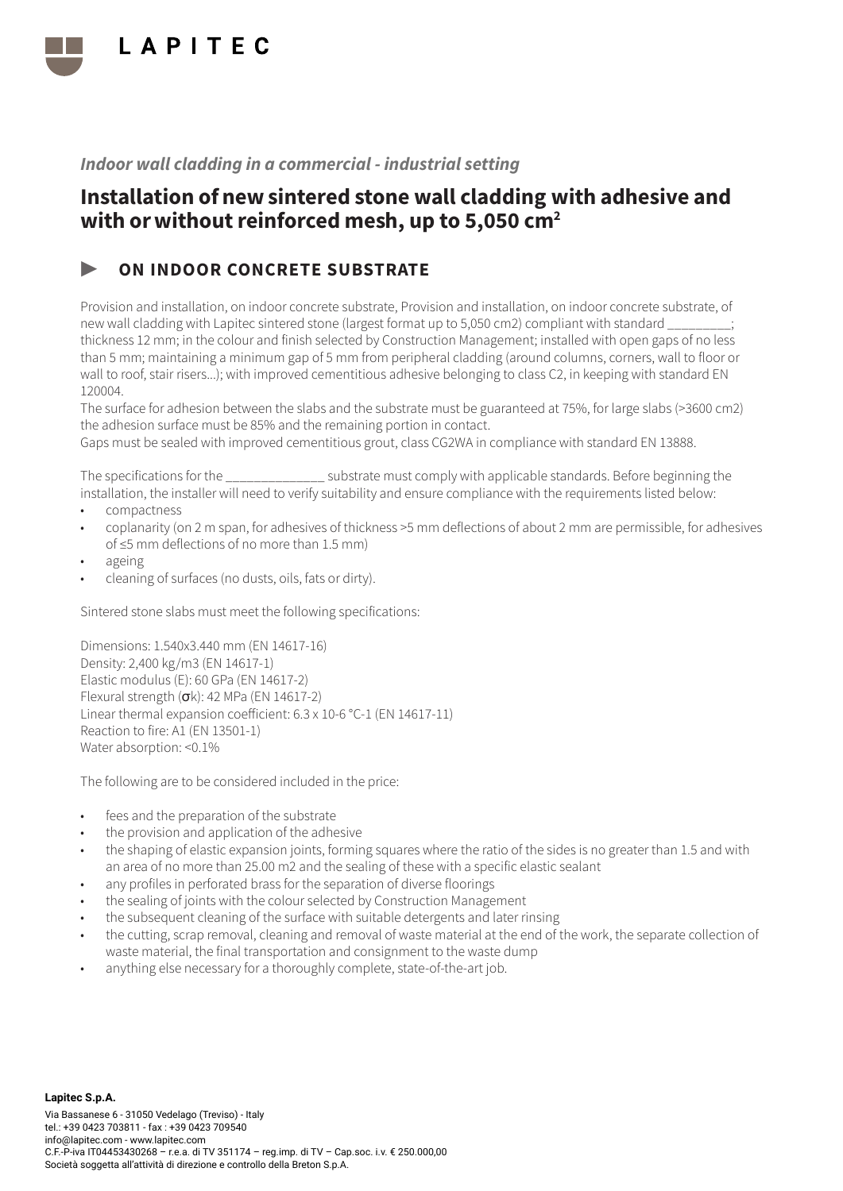

## Installation of new sintered stone wall cladding with adhesive and with or without reinforced mesh, up to 5,050 cm<sup>2</sup>

### ON INDOOR CONCRETE SUBSTRATE

Provision and installation, on indoor concrete substrate, Provision and installation, on indoor concrete substrate, of new wall cladding with Lapitec sintered stone (largest format up to 5,050 cm2) compliant with standard \_\_\_\_\_\_\_\_\_; thickness 12 mm; in the colour and finish selected by Construction Management; installed with open gaps of no less than 5 mm; maintaining a minimum gap of 5 mm from peripheral cladding (around columns, corners, wall to floor or wall to roof, stair risers...); with improved cementitious adhesive belonging to class C2, in keeping with standard EN 120004.

The surface for adhesion between the slabs and the substrate must be guaranteed at 75%, for large slabs (>3600 cm2) the adhesion surface must be 85% and the remaining portion in contact.

Gaps must be sealed with improved cementitious grout, class CG2WA in compliance with standard EN 13888.

The specifications for the \_\_\_\_\_\_\_\_\_\_\_\_\_\_ substrate must comply with applicable standards. Before beginning the installation, the installer will need to verify suitability and ensure compliance with the requirements listed below:

- compactness
- coplanarity (on 2 m span, for adhesives of thickness >5 mm deflections of about 2 mm are permissible, for adhesives of ≤5 mm deflections of no more than 1.5 mm)
- ageing
- cleaning of surfaces (no dusts, oils, fats or dirty).

Sintered stone slabs must meet the following specifications:

Dimensions: 1.540x3.440 mm (EN 14617-16) Density: 2,400 kg/m3 (EN 14617-1) Elastic modulus (E): 60 GPa (EN 14617-2) Flexural strength  $(\sigma k)$ : 42 MPa (EN 14617-2) Linear thermal expansion coefficient: 6.3 x 10-6 °C-1 (EN 14617-11) Reaction to fire: A1 (EN 13501-1) Water absorption: <0.1%

- fees and the preparation of the substrate
- the provision and application of the adhesive
- the shaping of elastic expansion joints, forming squares where the ratio of the sides is no greater than 1.5 and with an area of no more than 25.00 m2 and the sealing of these with a specific elastic sealant
- any profiles in perforated brass for the separation of diverse floorings
- the sealing of joints with the colour selected by Construction Management
- the subsequent cleaning of the surface with suitable detergents and later rinsing
- the cutting, scrap removal, cleaning and removal of waste material at the end of the work, the separate collection of waste material, the final transportation and consignment to the waste dump
- anything else necessary for a thoroughly complete, state-of-the-art job.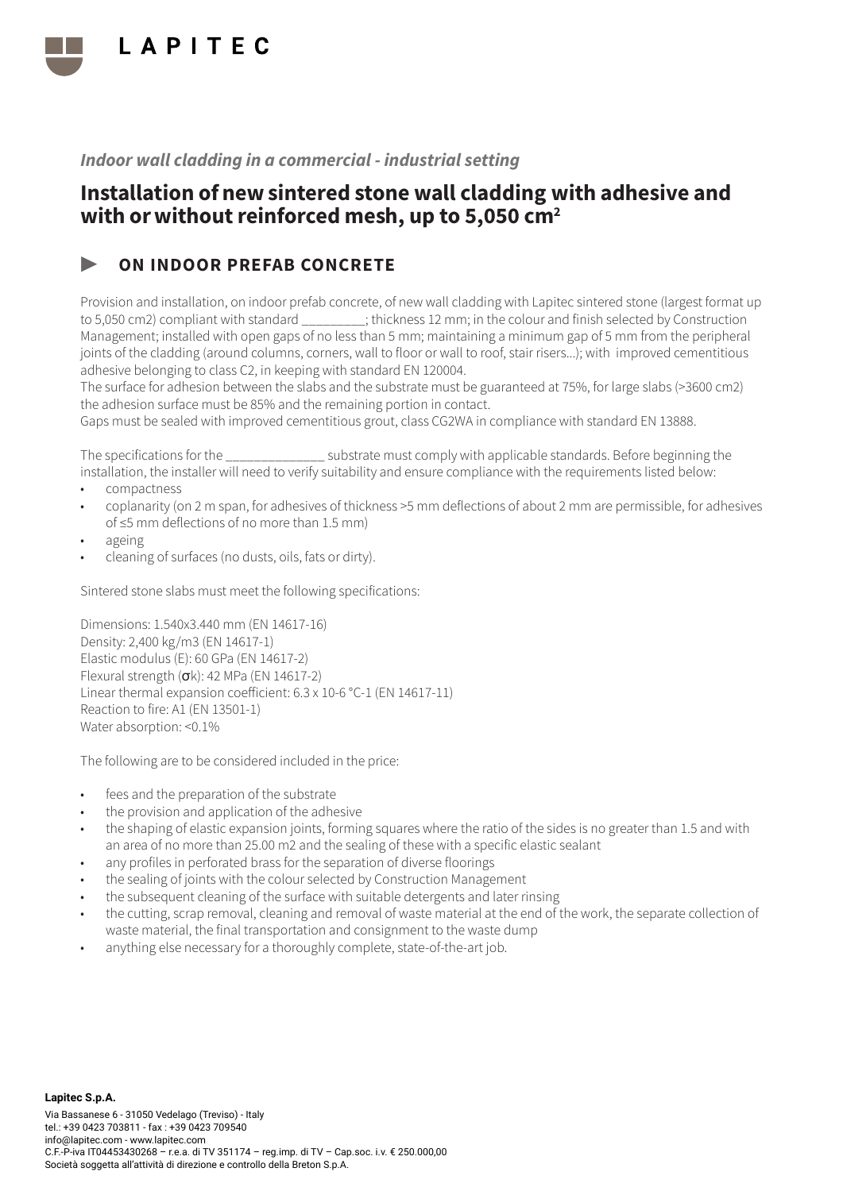

## Installation of new sintered stone wall cladding with adhesive and with or without reinforced mesh, up to 5,050 cm<sup>2</sup>

### ON INDOOR PREFAB CONCRETE

Provision and installation, on indoor prefab concrete, of new wall cladding with Lapitec sintered stone (largest format up to 5,050 cm2) compliant with standard  $\blacksquare$ ; thickness 12 mm; in the colour and finish selected by Construction Management; installed with open gaps of no less than 5 mm; maintaining a minimum gap of 5 mm from the peripheral joints of the cladding (around columns, corners, wall to floor or wall to roof, stair risers...); with improved cementitious adhesive belonging to class C2, in keeping with standard EN 120004.

The surface for adhesion between the slabs and the substrate must be guaranteed at 75%, for large slabs (>3600 cm2) the adhesion surface must be 85% and the remaining portion in contact.

Gaps must be sealed with improved cementitious grout, class CG2WA in compliance with standard EN 13888.

The specifications for the \_\_\_\_\_\_\_\_\_\_\_\_\_\_ substrate must comply with applicable standards. Before beginning the installation, the installer will need to verify suitability and ensure compliance with the requirements listed below:

- compactness
- coplanarity (on 2 m span, for adhesives of thickness >5 mm deflections of about 2 mm are permissible, for adhesives of ≤5 mm deflections of no more than 1.5 mm)
- ageing
- cleaning of surfaces (no dusts, oils, fats or dirty).

Sintered stone slabs must meet the following specifications:

Dimensions: 1.540x3.440 mm (EN 14617-16) Density: 2,400 kg/m3 (EN 14617-1) Elastic modulus (E): 60 GPa (EN 14617-2) Flexural strength (σk): 42 MPa (EN 14617-2) Linear thermal expansion coefficient: 6.3 x 10-6 °C-1 (EN 14617-11) Reaction to fire: A1 (EN 13501-1) Water absorption: <0.1%

- fees and the preparation of the substrate
- the provision and application of the adhesive
- the shaping of elastic expansion joints, forming squares where the ratio of the sides is no greater than 1.5 and with an area of no more than 25.00 m2 and the sealing of these with a specific elastic sealant
- any profiles in perforated brass for the separation of diverse floorings
- the sealing of joints with the colour selected by Construction Management
- the subsequent cleaning of the surface with suitable detergents and later rinsing
- the cutting, scrap removal, cleaning and removal of waste material at the end of the work, the separate collection of waste material, the final transportation and consignment to the waste dump
- anything else necessary for a thoroughly complete, state-of-the-art job.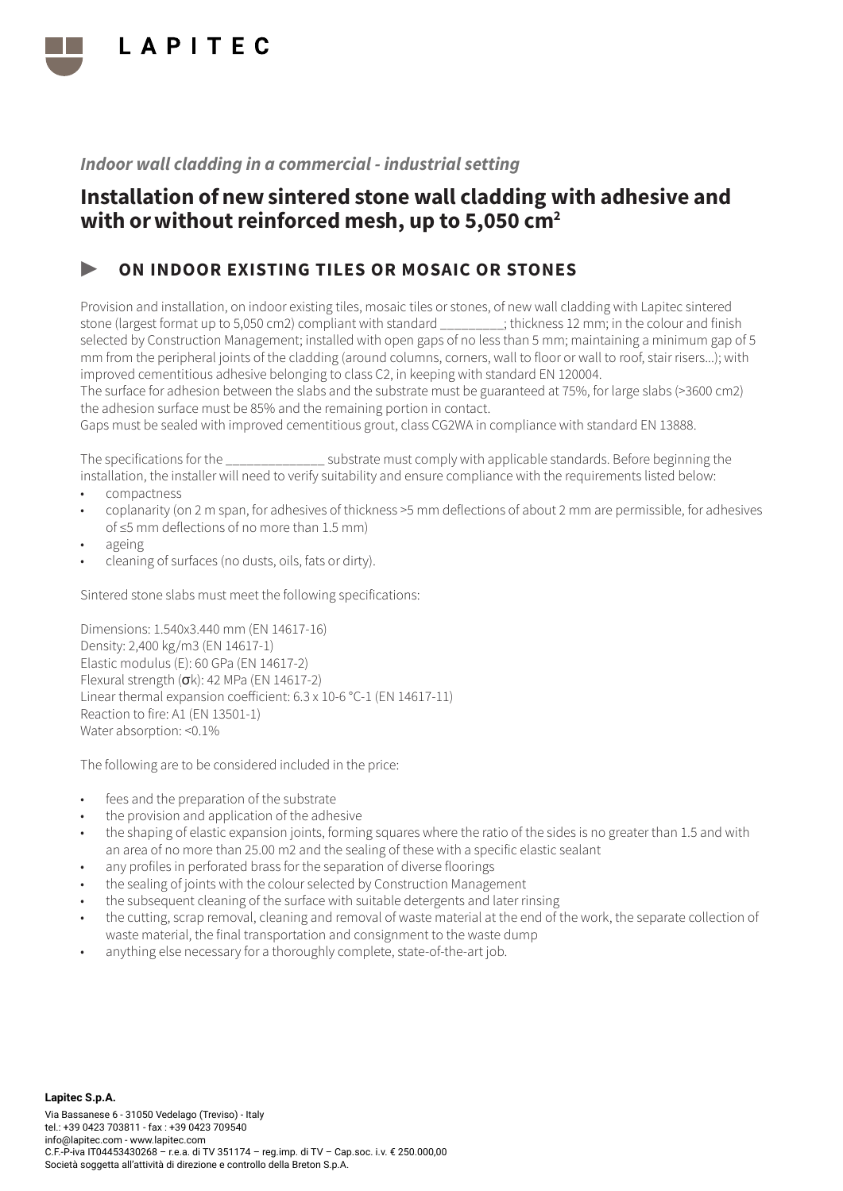

## Installation of new sintered stone wall cladding with adhesive and with or without reinforced mesh, up to 5,050 cm<sup>2</sup>

### ON INDOOR EXISTING TILES OR MOSAIC OR STONES

Provision and installation, on indoor existing tiles, mosaic tiles or stones, of new wall cladding with Lapitec sintered stone (largest format up to 5,050 cm2) compliant with standard \_\_\_\_\_\_\_\_\_; thickness 12 mm; in the colour and finish selected by Construction Management; installed with open gaps of no less than 5 mm; maintaining a minimum gap of 5 mm from the peripheral joints of the cladding (around columns, corners, wall to floor or wall to roof, stair risers...); with improved cementitious adhesive belonging to class C2, in keeping with standard EN 120004.

The surface for adhesion between the slabs and the substrate must be guaranteed at 75%, for large slabs (>3600 cm2) the adhesion surface must be 85% and the remaining portion in contact.

Gaps must be sealed with improved cementitious grout, class CG2WA in compliance with standard EN 13888.

The specifications for the  $\sim$  substrate must comply with applicable standards. Before beginning the installation, the installer will need to verify suitability and ensure compliance with the requirements listed below:

- compactness
- coplanarity (on 2 m span, for adhesives of thickness >5 mm deflections of about 2 mm are permissible, for adhesives of ≤5 mm deflections of no more than 1.5 mm)
- ageing
- cleaning of surfaces (no dusts, oils, fats or dirty).

Sintered stone slabs must meet the following specifications:

Dimensions: 1.540x3.440 mm (EN 14617-16) Density: 2,400 kg/m3 (EN 14617-1) Elastic modulus (E): 60 GPa (EN 14617-2) Flexural strength (σk): 42 MPa (EN 14617-2) Linear thermal expansion coefficient: 6.3 x 10-6 °C-1 (EN 14617-11) Reaction to fire: A1 (EN 13501-1) Water absorption: <0.1%

- fees and the preparation of the substrate
- the provision and application of the adhesive
- the shaping of elastic expansion joints, forming squares where the ratio of the sides is no greater than 1.5 and with an area of no more than 25.00 m2 and the sealing of these with a specific elastic sealant
- any profiles in perforated brass for the separation of diverse floorings
- the sealing of joints with the colour selected by Construction Management
- the subsequent cleaning of the surface with suitable detergents and later rinsing
- the cutting, scrap removal, cleaning and removal of waste material at the end of the work, the separate collection of waste material, the final transportation and consignment to the waste dump
- anything else necessary for a thoroughly complete, state-of-the-art job.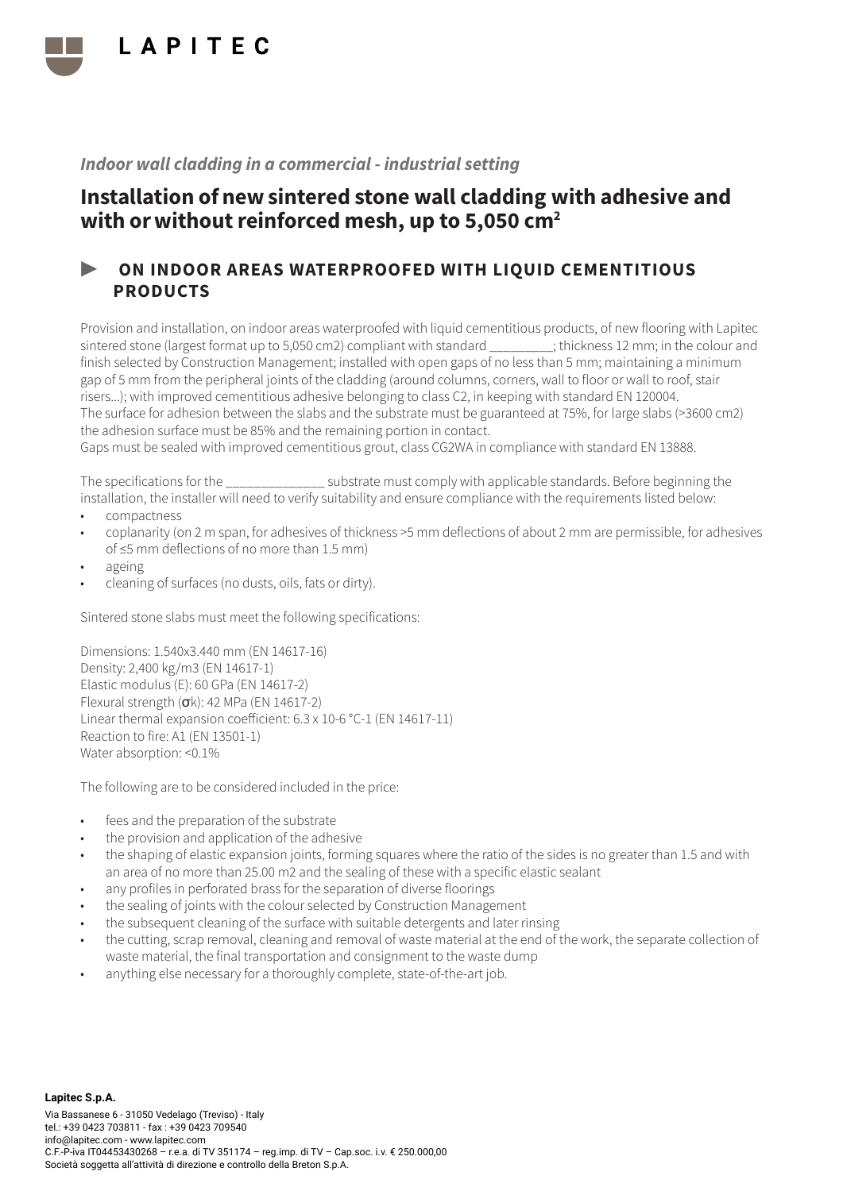

## Installation of new sintered stone wall cladding with adhesive and with or without reinforced mesh, up to 5,050 cm<sup>2</sup>

### ▶ ON INDOOR AREAS WATERPROOFED WITH LIQUID CEMENTITIOUS PRODUCTS

Provision and installation, on indoor areas waterproofed with liquid cementitious products, of new flooring with Lapitec sintered stone (largest format up to 5,050 cm2) compliant with standard  $\cdot$  thickness 12 mm; in the colour and finish selected by Construction Management; installed with open gaps of no less than 5 mm; maintaining a minimum gap of 5 mm from the peripheral joints of the cladding (around columns, corners, wall to floor or wall to roof, stair risers...); with improved cementitious adhesive belonging to class C2, in keeping with standard EN 120004. The surface for adhesion between the slabs and the substrate must be guaranteed at 75%, for large slabs (>3600 cm2) the adhesion surface must be 85% and the remaining portion in contact.

Gaps must be sealed with improved cementitious grout, class CG2WA in compliance with standard EN 13888.

The specifications for the \_\_\_\_\_\_\_\_\_\_\_\_\_\_ substrate must comply with applicable standards. Before beginning the installation, the installer will need to verify suitability and ensure compliance with the requirements listed below:

- compactness
- coplanarity (on 2 m span, for adhesives of thickness >5 mm deflections of about 2 mm are permissible, for adhesives of ≤5 mm deflections of no more than 1.5 mm)
- ageing
- cleaning of surfaces (no dusts, oils, fats or dirty).

Sintered stone slabs must meet the following specifications:

Dimensions: 1.540x3.440 mm (EN 14617-16) Density: 2,400 kg/m3 (EN 14617-1) Elastic modulus (E): 60 GPa (EN 14617-2) Flexural strength (σk): 42 MPa (EN 14617-2) Linear thermal expansion coefficient: 6.3 x 10-6 °C-1 (EN 14617-11) Reaction to fire: A1 (EN 13501-1) Water absorption: <0.1%

- fees and the preparation of the substrate
- the provision and application of the adhesive
- the shaping of elastic expansion joints, forming squares where the ratio of the sides is no greater than 1.5 and with an area of no more than 25.00 m2 and the sealing of these with a specific elastic sealant
- any profiles in perforated brass for the separation of diverse floorings
- the sealing of joints with the colour selected by Construction Management
- the subsequent cleaning of the surface with suitable detergents and later rinsing
- the cutting, scrap removal, cleaning and removal of waste material at the end of the work, the separate collection of waste material, the final transportation and consignment to the waste dump
- anything else necessary for a thoroughly complete, state-of-the-art job.